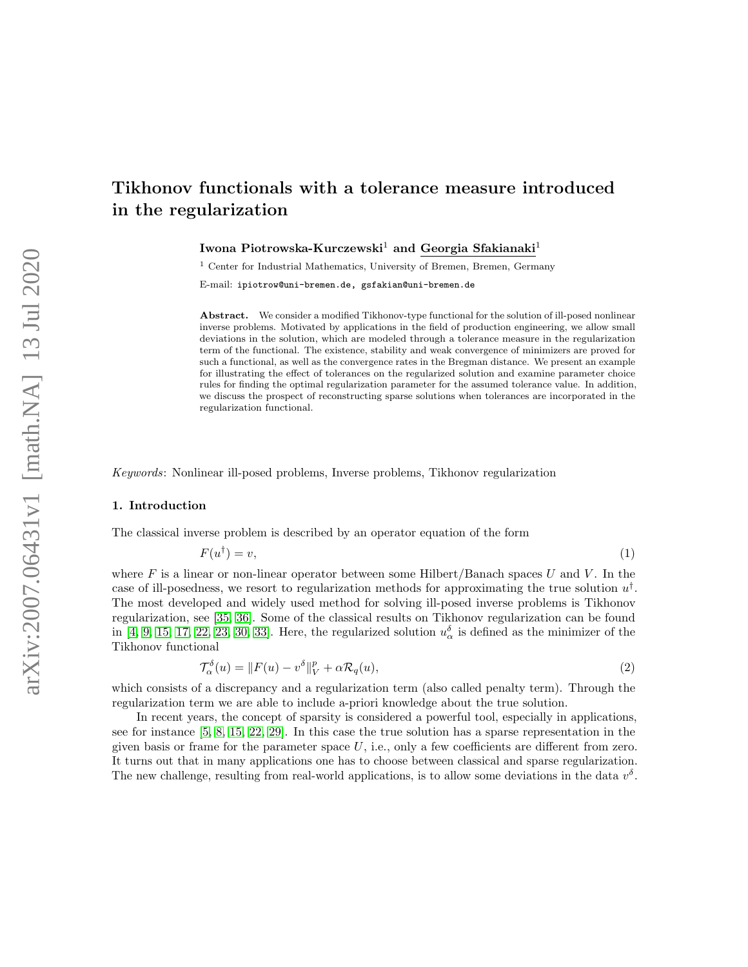# <span id="page-0-0"></span>Tikhonov functionals with a tolerance measure introduced in the regularization

Iwona Piotrowska-Kurczewski<sup>1</sup> and Georgia Sfakianaki<sup>1</sup>

<sup>1</sup> Center for Industrial Mathematics, University of Bremen, Bremen, Germany

E-mail: ipiotrow@uni-bremen.de, gsfakian@uni-bremen.de

Abstract. We consider a modified Tikhonov-type functional for the solution of ill-posed nonlinear inverse problems. Motivated by applications in the field of production engineering, we allow small deviations in the solution, which are modeled through a tolerance measure in the regularization term of the functional. The existence, stability and weak convergence of minimizers are proved for such a functional, as well as the convergence rates in the Bregman distance. We present an example for illustrating the effect of tolerances on the regularized solution and examine parameter choice rules for finding the optimal regularization parameter for the assumed tolerance value. In addition, we discuss the prospect of reconstructing sparse solutions when tolerances are incorporated in the regularization functional.

Keywords: Nonlinear ill-posed problems, Inverse problems, Tikhonov regularization

## 1. Introduction

The classical inverse problem is described by an operator equation of the form

<span id="page-0-1"></span>
$$
F(u^{\dagger}) = v,\tag{1}
$$

where F is a linear or non-linear operator between some Hilbert/Banach spaces U and V. In the case of ill-posedness, we resort to regularization methods for approximating the true solution  $u^{\dagger}$ . The most developed and widely used method for solving ill-posed inverse problems is Tikhonov regularization, see [\[35,](#page-22-0) [36\]](#page-22-1). Some of the classical results on Tikhonov regularization can be found in [\[4,](#page-21-0) [9,](#page-21-1) [15,](#page-21-2) [17,](#page-21-3) [22,](#page-21-4) [23,](#page-21-5) [30,](#page-22-2) [33\]](#page-22-3). Here, the regularized solution  $u_{\alpha}^{\delta}$  is defined as the minimizer of the Tikhonov functional

$$
\mathcal{T}_{\alpha}^{\delta}(u) = ||F(u) - v^{\delta}||_{V}^{p} + \alpha \mathcal{R}_{q}(u), \qquad (2)
$$

which consists of a discrepancy and a regularization term (also called penalty term). Through the regularization term we are able to include a-priori knowledge about the true solution.

In recent years, the concept of sparsity is considered a powerful tool, especially in applications, see for instance [\[5,](#page-21-6) [8,](#page-21-7) [15,](#page-21-2) [22,](#page-21-4) [29\]](#page-22-4). In this case the true solution has a sparse representation in the given basis or frame for the parameter space  $U$ , i.e., only a few coefficients are different from zero. It turns out that in many applications one has to choose between classical and sparse regularization. The new challenge, resulting from real-world applications, is to allow some deviations in the data  $v^{\delta}$ .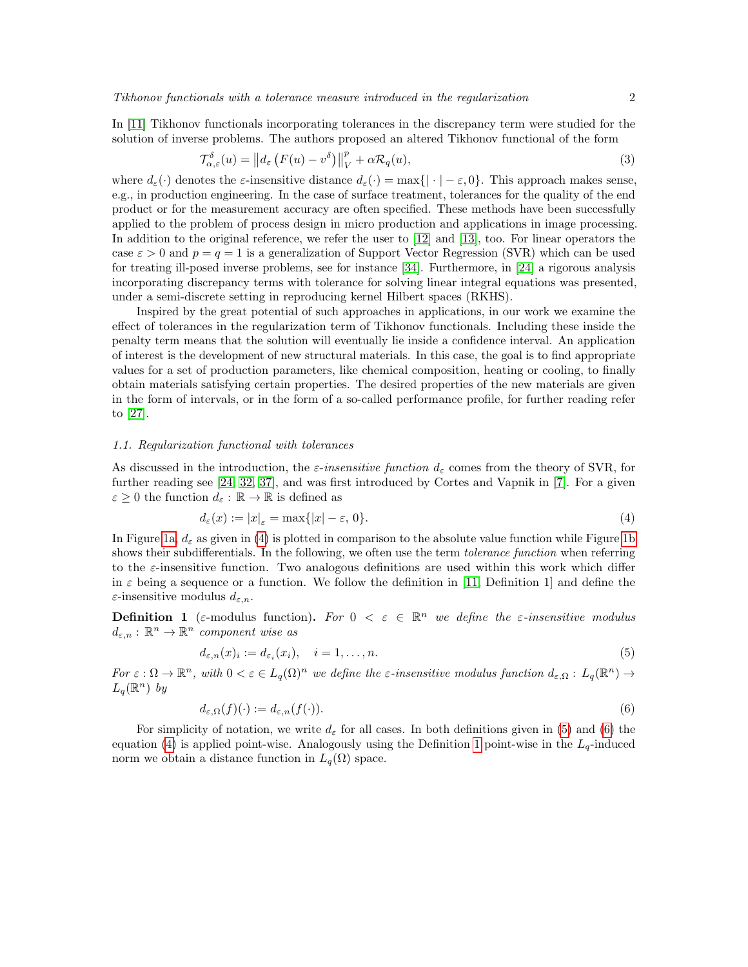In [\[11\]](#page-21-8) Tikhonov functionals incorporating tolerances in the discrepancy term were studied for the solution of inverse problems. The authors proposed an altered Tikhonov functional of the form

$$
\mathcal{T}_{\alpha,\varepsilon}^{\delta}(u) = ||d_{\varepsilon} \left( F(u) - v^{\delta} \right) ||_{V}^{p} + \alpha \mathcal{R}_{q}(u), \tag{3}
$$

where  $d_{\varepsilon}(\cdot)$  denotes the  $\varepsilon$ -insensitive distance  $d_{\varepsilon}(\cdot) = \max\{|\cdot| - \varepsilon, 0\}$ . This approach makes sense, e.g., in production engineering. In the case of surface treatment, tolerances for the quality of the end product or for the measurement accuracy are often specified. These methods have been successfully applied to the problem of process design in micro production and applications in image processing. In addition to the original reference, we refer the user to [\[12\]](#page-21-9) and [\[13\]](#page-21-10), too. For linear operators the case  $\varepsilon > 0$  and  $p = q = 1$  is a generalization of Support Vector Regression (SVR) which can be used for treating ill-posed inverse problems, see for instance [\[34\]](#page-22-5). Furthermore, in [\[24\]](#page-21-11) a rigorous analysis incorporating discrepancy terms with tolerance for solving linear integral equations was presented, under a semi-discrete setting in reproducing kernel Hilbert spaces (RKHS).

Inspired by the great potential of such approaches in applications, in our work we examine the effect of tolerances in the regularization term of Tikhonov functionals. Including these inside the penalty term means that the solution will eventually lie inside a confidence interval. An application of interest is the development of new structural materials. In this case, the goal is to find appropriate values for a set of production parameters, like chemical composition, heating or cooling, to finally obtain materials satisfying certain properties. The desired properties of the new materials are given in the form of intervals, or in the form of a so-called performance profile, for further reading refer to [\[27\]](#page-21-12).

# 1.1. Regularization functional with tolerances

As discussed in the introduction, the *ε-insensitive function*  $d_{\varepsilon}$  comes from the theory of SVR, for further reading see [\[24,](#page-21-11) [32,](#page-22-6) [37\]](#page-22-7), and was first introduced by Cortes and Vapnik in [\[7\]](#page-21-13). For a given  $\varepsilon \geq 0$  the function  $d_{\varepsilon}: \mathbb{R} \to \mathbb{R}$  is defined as

<span id="page-1-0"></span>
$$
d_{\varepsilon}(x) := |x|_{\varepsilon} = \max\{|x| - \varepsilon, 0\}.
$$
\n<sup>(4)</sup>

In Figure [1a,](#page-2-0)  $d_{\varepsilon}$  as given in [\(4\)](#page-1-0) is plotted in comparison to the absolute value function while Figure [1b](#page-2-1) shows their subdifferentials. In the following, we often use the term *tolerance function* when referring to the  $\varepsilon$ -insensitive function. Two analogous definitions are used within this work which differ in  $\varepsilon$  being a sequence or a function. We follow the definition in [\[11,](#page-21-8) Definition 1] and define the  $\varepsilon$ -insensitive modulus  $d_{\varepsilon,n}$ .

<span id="page-1-3"></span>**Definition 1** ( $\varepsilon$ -modulus function). For  $0 < \varepsilon \in \mathbb{R}^n$  we define the  $\varepsilon$ -insensitive modulus  $d_{\varepsilon,n}:\mathbb{R}^n\to\mathbb{R}^n$  component wise as

<span id="page-1-1"></span>
$$
d_{\varepsilon,n}(x)_i := d_{\varepsilon_i}(x_i), \quad i = 1, \dots, n. \tag{5}
$$

For  $\varepsilon : \Omega \to \mathbb{R}^n$ , with  $0 < \varepsilon \in L_q(\Omega)^n$  we define the  $\varepsilon$ -insensitive modulus function  $d_{\varepsilon,\Omega} : L_q(\mathbb{R}^n) \to$  $L_q(\mathbb{R}^n)$  by

<span id="page-1-2"></span>
$$
d_{\varepsilon,\Omega}(f)(\cdot) := d_{\varepsilon,n}(f(\cdot)).\tag{6}
$$

For simplicity of notation, we write  $d_{\varepsilon}$  for all cases. In both definitions given in [\(5\)](#page-1-1) and [\(6\)](#page-1-2) the equation [\(4\)](#page-1-0) is applied point-wise. Analogously using the Definition [1](#page-1-3) point-wise in the  $L_q$ -induced norm we obtain a distance function in  $L_q(\Omega)$  space.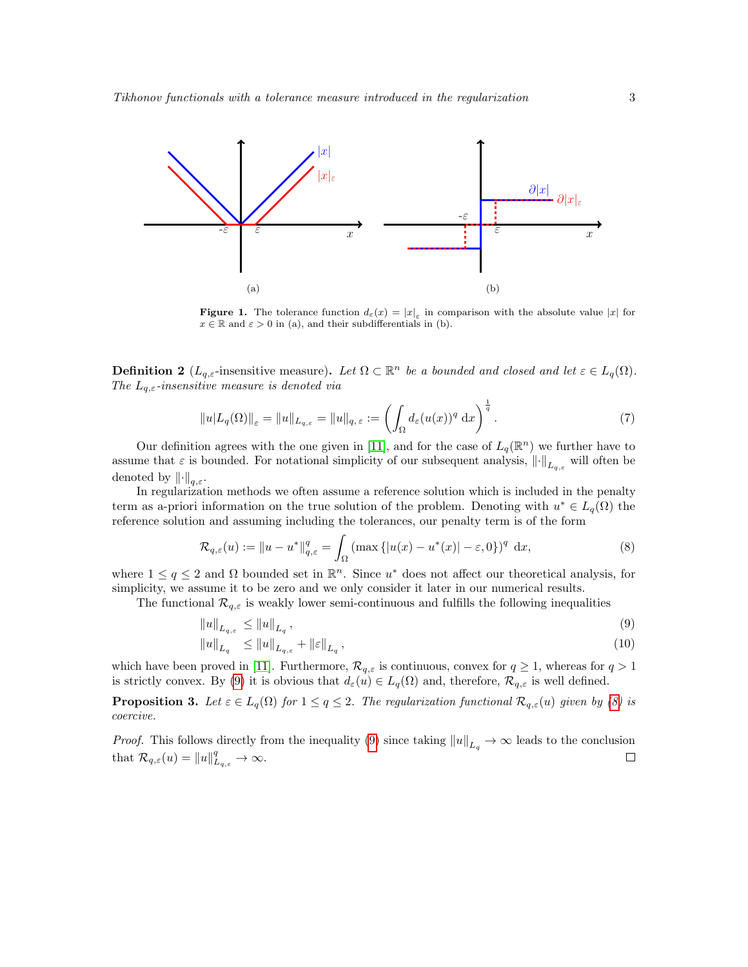<span id="page-2-0"></span>

<span id="page-2-1"></span>**Figure 1.** The tolerance function  $d_{\varepsilon}(x) = |x|_{\varepsilon}$  in comparison with the absolute value |x| for  $x \in \mathbb{R}$  and  $\varepsilon > 0$  in (a), and their subdifferentials in (b).

**Definition 2** ( $L_{q,\varepsilon}$ -insensitive measure). Let  $\Omega \subset \mathbb{R}^n$  be a bounded and closed and let  $\varepsilon \in L_q(\Omega)$ . The  $L_{q,\varepsilon}$ -insensitive measure is denoted via

$$
||u|L_q(\Omega)||_{\varepsilon} = ||u||_{L_{q,\varepsilon}} = ||u||_{q,\varepsilon} := \left(\int_{\Omega} d_{\varepsilon}(u(x))^q dx\right)^{\frac{1}{q}}.
$$
\n(7)

Our definition agrees with the one given in [\[11\]](#page-21-8), and for the case of  $L_q(\mathbb{R}^n)$  we further have to assume that  $\varepsilon$  is bounded. For notational simplicity of our subsequent analysis,  $\|\cdot\|_{L_{q,\varepsilon}}$  will often be denoted by  $\lVert \cdot \rVert_{q,\varepsilon}$ .

In regularization methods we often assume a reference solution which is included in the penalty term as a-priori information on the true solution of the problem. Denoting with  $u^* \in L_q(\Omega)$  the reference solution and assuming including the tolerances, our penalty term is of the form

<span id="page-2-3"></span>
$$
\mathcal{R}_{q,\varepsilon}(u) := \|u - u^*\|_{q,\varepsilon}^q = \int_{\Omega} \left( \max\left\{|u(x) - u^*(x)| - \varepsilon, 0\right\} \right)^q dx, \tag{8}
$$

where  $1 \le q \le 2$  and  $\Omega$  bounded set in  $\mathbb{R}^n$ . Since  $u^*$  does not affect our theoretical analysis, for simplicity, we assume it to be zero and we only consider it later in our numerical results.

The functional  $\mathcal{R}_{q,\varepsilon}$  is weakly lower semi-continuous and fulfills the following inequalities

<span id="page-2-2"></span>
$$
||u||_{L_{q,\varepsilon}} \le ||u||_{L_q},\tag{9}
$$

$$
||u||_{L_q} \le ||u||_{L_{q,\varepsilon}} + ||\varepsilon||_{L_q}, \tag{10}
$$

which have been proved in [\[11\]](#page-21-8). Furthermore,  $\mathcal{R}_{q,\varepsilon}$  is continuous, convex for  $q \geq 1$ , whereas for  $q > 1$ is strictly convex. By [\(9\)](#page-2-2) it is obvious that  $d_{\varepsilon}(u) \in L_q(\Omega)$  and, therefore,  $\mathcal{R}_{q,\varepsilon}$  is well defined.

**Proposition 3.** Let  $\varepsilon \in L_q(\Omega)$  for  $1 \leq q \leq 2$ . The regularization functional  $\mathcal{R}_{q,\varepsilon}(u)$  given by [\(8\)](#page-2-3) is coercive.

*Proof.* This follows directly from the inequality [\(9\)](#page-2-2) since taking  $||u||_{L_q} \to \infty$  leads to the conclusion that  $\mathcal{R}_{q,\varepsilon}(u) = ||u||_{L_{q,\varepsilon}}^q \to \infty$ .  $\Box$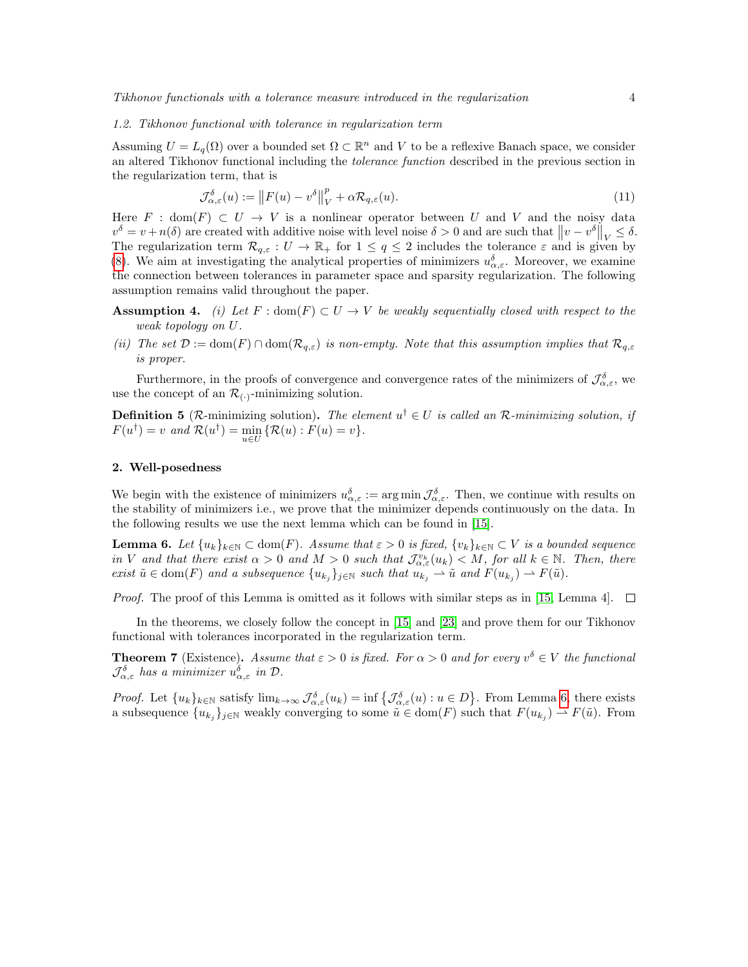#### 1.2. Tikhonov functional with tolerance in regularization term

Assuming  $U = L_q(\Omega)$  over a bounded set  $\Omega \subset \mathbb{R}^n$  and V to be a reflexive Banach space, we consider an altered Tikhonov functional including the tolerance function described in the previous section in the regularization term, that is

<span id="page-3-1"></span>
$$
\mathcal{J}_{\alpha,\varepsilon}^{\delta}(u) := \left\| F(u) - v^{\delta} \right\|_{V}^{p} + \alpha \mathcal{R}_{q,\varepsilon}(u). \tag{11}
$$

Here  $F : dom(F) \subset U \to V$  is a nonlinear operator between U and V and the noisy data  $v^{\delta} = v + n(\delta)$  are created with additive noise with level noise  $\delta > 0$  and are such that  $||v - v^{\delta}||_V \leq \delta$ . The regularization term  $\mathcal{R}_{q,\varepsilon}: U \to \mathbb{R}_+$  for  $1 \leq q \leq 2$  includes the tolerance  $\varepsilon$  and is given by [\(8\)](#page-2-3). We aim at investigating the analytical properties of minimizers  $u_{\alpha,\varepsilon}^{\delta}$ . Moreover, we examine the connection between tolerances in parameter space and sparsity regularization. The following assumption remains valid throughout the paper.

- **Assumption 4.** (i) Let F : dom(F)  $\subset U \to V$  be weakly sequentially closed with respect to the weak topology on U.
- (ii) The set  $\mathcal{D} := \text{dom}(F) \cap \text{dom}(\mathcal{R}_{q,\varepsilon})$  is non-empty. Note that this assumption implies that  $\mathcal{R}_{q,\varepsilon}$ is proper.

Furthermore, in the proofs of convergence and convergence rates of the minimizers of  $\mathcal{J}_{\alpha,\varepsilon}^{\delta}$ , we use the concept of an  $\mathcal{R}_{(.)}$ -minimizing solution.

**Definition 5** ( $\mathcal{R}$ -minimizing solution). The element  $u^{\dagger} \in U$  is called an  $\mathcal{R}$ -minimizing solution, if  $F(u^{\dagger}) = v$  and  $\mathcal{R}(u^{\dagger}) = \min_{u \in U} {\{\mathcal{R}(u) : F(u) = v\}}.$ 

# 2. Well-posedness

We begin with the existence of minimizers  $u^{\delta}_{\alpha,\varepsilon} := \arg \min \mathcal{J}^{\delta}_{\alpha,\varepsilon}$ . Then, we continue with results on the stability of minimizers i.e., we prove that the minimizer depends continuously on the data. In the following results we use the next lemma which can be found in [\[15\]](#page-21-2).

<span id="page-3-0"></span>**Lemma 6.** Let  $\{u_k\}_{k\in\mathbb{N}}\subset \text{dom}(F)$ . Assume that  $\varepsilon>0$  is fixed,  $\{v_k\}_{k\in\mathbb{N}}\subset V$  is a bounded sequence in V and that there exist  $\alpha > 0$  and  $M > 0$  such that  $\mathcal{J}_{\alpha,\varepsilon}^{v_k}(u_k) < M$ , for all  $k \in \mathbb{N}$ . Then, there exist  $\tilde{u} \in \text{dom}(F)$  and a subsequence  $\{u_{k_j}\}_{j\in\mathbb{N}}$  such that  $u_{k_j} \to \tilde{u}$  and  $F(u_{k_j}) \to F(\tilde{u})$ .

*Proof.* The proof of this Lemma is omitted as it follows with similar steps as in [\[15,](#page-21-2) Lemma 4].  $\Box$ 

In the theorems, we closely follow the concept in [\[15\]](#page-21-2) and [\[23\]](#page-21-5) and prove them for our Tikhonov functional with tolerances incorporated in the regularization term.

**Theorem 7** (Existence). Assume that  $\varepsilon > 0$  is fixed. For  $\alpha > 0$  and for every  $v^{\delta} \in V$  the functional  $\mathcal{J}_{\alpha,\varepsilon}^{\delta}$  has a minimizer  $u_{\alpha,\varepsilon}^{\delta}$  in  $\mathcal{D}$ .

*Proof.* Let  $\{u_k\}_{k\in\mathbb{N}}$  satisfy  $\lim_{k\to\infty} \mathcal{J}_{\alpha,\varepsilon}^{\delta}(u_k) = \inf \{\mathcal{J}_{\alpha,\varepsilon}^{\delta}(u) : u \in D\}$ . From Lemma [6,](#page-3-0) there exists a subsequence  $\{u_{k_j}\}_{j\in\mathbb{N}}$  weakly converging to some  $\tilde{u} \in \text{dom}(F)$  such that  $F(u_{k_j}) \to F(\tilde{u})$ . From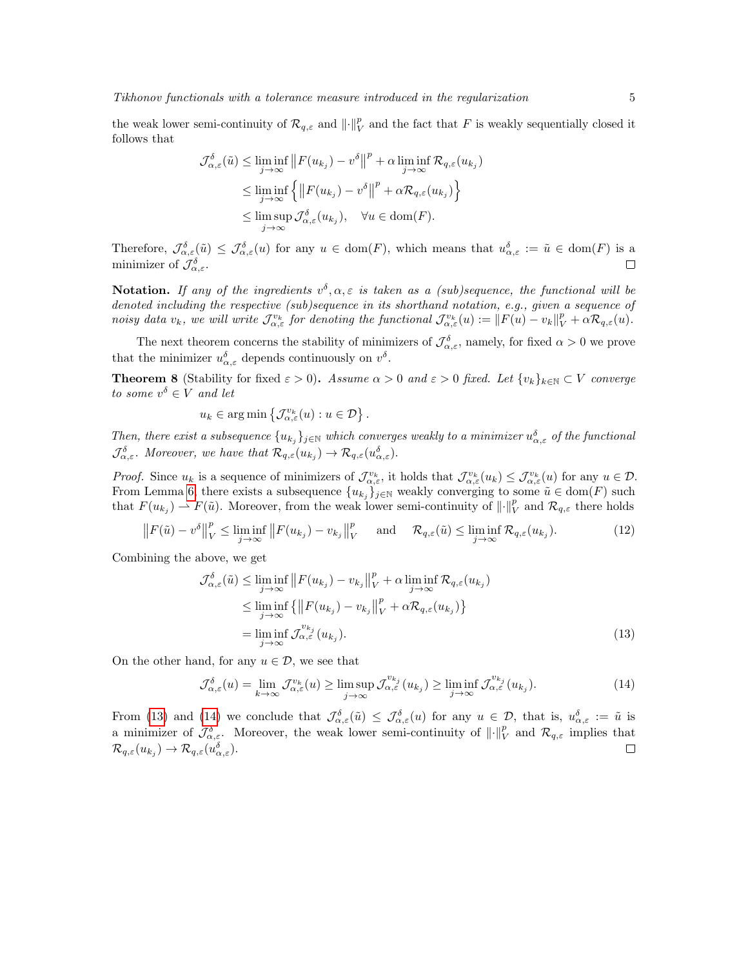the weak lower semi-continuity of  $\mathcal{R}_{q,\varepsilon}$  and  $\|\cdot\|_V^p$  and the fact that F is weakly sequentially closed it follows that

$$
\mathcal{J}_{\alpha,\varepsilon}^{\delta}(\tilde{u}) \leq \liminf_{j \to \infty} \|F(u_{k_j}) - v^{\delta}\|^p + \alpha \liminf_{j \to \infty} \mathcal{R}_{q,\varepsilon}(u_{k_j})
$$
  

$$
\leq \liminf_{j \to \infty} \left\{ \|F(u_{k_j}) - v^{\delta}\|^p + \alpha \mathcal{R}_{q,\varepsilon}(u_{k_j}) \right\}
$$
  

$$
\leq \limsup_{j \to \infty} \mathcal{J}_{\alpha,\varepsilon}^{\delta}(u_{k_j}), \quad \forall u \in \text{dom}(F).
$$

Therefore,  $\mathcal{J}_{\alpha,\varepsilon}^{\delta}(\tilde{u}) \leq \mathcal{J}_{\alpha,\varepsilon}^{\delta}(u)$  for any  $u \in \text{dom}(F)$ , which means that  $u_{\alpha,\varepsilon}^{\delta} := \tilde{u} \in \text{dom}(F)$  is a minimizer of  $\mathcal{J}_{\alpha,\varepsilon}^{\delta}$ .

**Notation.** If any of the ingredients  $v^{\delta}, \alpha, \varepsilon$  is taken as a (sub)sequence, the functional will be denoted including the respective (sub)sequence in its shorthand notation, e.g., given a sequence of noisy data  $v_k$ , we will write  $\mathcal{J}_{\alpha,\varepsilon}^{v_k}$  for denoting the functional  $\mathcal{J}_{\alpha,\varepsilon}^{v_k}(u) := ||F(u) - v_k||_V^p + \alpha \mathcal{R}_{q,\varepsilon}(u)$ .

The next theorem concerns the stability of minimizers of  $\mathcal{J}^{\delta}_{\alpha,\varepsilon}$ , namely, for fixed  $\alpha > 0$  we prove that the minimizer  $u_{\alpha,\varepsilon}^{\delta}$  depends continuously on  $v^{\delta}$ .

**Theorem 8** (Stability for fixed  $\varepsilon > 0$ ). Assume  $\alpha > 0$  and  $\varepsilon > 0$  fixed. Let  $\{v_k\}_{k \in \mathbb{N}} \subset V$  converge to some  $v^{\delta} \in V$  and let

$$
u_k \in \arg\min \{ \mathcal{J}_{\alpha,\varepsilon}^{v_k}(u) : u \in \mathcal{D} \}.
$$

Then, there exist a subsequence  $\{u_{k_j}\}_{j\in\mathbb{N}}$  which converges weakly to a minimizer  $u^{\delta}_{\alpha,\varepsilon}$  of the functional  $\mathcal{J}_{\alpha,\varepsilon}^{\delta}$ . Moreover, we have that  $\mathcal{R}_{q,\varepsilon}(u_{k_j}) \to \mathcal{R}_{q,\varepsilon}(u_{\alpha,\varepsilon}^{\delta})$ .

Proof. Since  $u_k$  is a sequence of minimizers of  $\mathcal{J}_{\alpha,\varepsilon}^{v_k}$ , it holds that  $\mathcal{J}_{\alpha,\varepsilon}^{v_k}(u_k) \leq \mathcal{J}_{\alpha,\varepsilon}^{v_k}(u)$  for any  $u \in \mathcal{D}$ . From Lemma [6,](#page-3-0) there exists a subsequence  $\{u_{k_j}\}_{j\in\mathbb{N}}$  weakly converging to some  $\tilde{u} \in \text{dom}(F)$  such that  $F(u_{kj}) \rightharpoonup F(\tilde{u})$ . Moreover, from the weak lower semi-continuity of  $\lVert \cdot \rVert_V^p$  and  $\mathcal{R}_{q,\varepsilon}$  there holds

$$
\left\|F(\tilde{u}) - v^{\delta}\right\|_{V}^{p} \le \liminf_{j \to \infty} \left\|F(u_{k_{j}}) - v_{k_{j}}\right\|_{V}^{p} \quad \text{and} \quad \mathcal{R}_{q,\varepsilon}(\tilde{u}) \le \liminf_{j \to \infty} \mathcal{R}_{q,\varepsilon}(u_{k_{j}}). \tag{12}
$$

Combining the above, we get

<span id="page-4-0"></span>
$$
\mathcal{J}_{\alpha,\varepsilon}^{\delta}(\tilde{u}) \leq \liminf_{j \to \infty} \|F(u_{k_j}) - v_{k_j}\|_{V}^{p} + \alpha \liminf_{j \to \infty} \mathcal{R}_{q,\varepsilon}(u_{k_j})
$$
\n
$$
\leq \liminf_{j \to \infty} \left\{ \|F(u_{k_j}) - v_{k_j}\|_{V}^{p} + \alpha \mathcal{R}_{q,\varepsilon}(u_{k_j}) \right\}
$$
\n
$$
= \liminf_{j \to \infty} \mathcal{J}_{\alpha,\varepsilon}^{v_{k_j}}(u_{k_j}).
$$
\n(13)

On the other hand, for any  $u \in \mathcal{D}$ , we see that

<span id="page-4-1"></span>
$$
\mathcal{J}_{\alpha,\varepsilon}^{\delta}(u) = \lim_{k \to \infty} \mathcal{J}_{\alpha,\varepsilon}^{v_k}(u) \ge \limsup_{j \to \infty} \mathcal{J}_{\alpha,\varepsilon}^{v_{k_j}}(u_{k_j}) \ge \liminf_{j \to \infty} \mathcal{J}_{\alpha,\varepsilon}^{v_{k_j}}(u_{k_j}).
$$
\n(14)

From [\(13\)](#page-4-0) and [\(14\)](#page-4-1) we conclude that  $\mathcal{J}^{\delta}_{\alpha,\varepsilon}(\tilde{u}) \leq \mathcal{J}^{\delta}_{\alpha,\varepsilon}(u)$  for any  $u \in \mathcal{D}$ , that is,  $u^{\delta}_{\alpha,\varepsilon} := \tilde{u}$  is a minimizer of  $\mathcal{J}_{\alpha,\varepsilon}^{\delta}$ . Moreover, the weak lower semi-continuity of  $\lVert \cdot \rVert_V^p$  and  $\mathcal{R}_{q,\varepsilon}$  implies that  $\mathcal{R}_{q,\varepsilon}(u_{k_j}) \to \mathcal{R}_{q,\varepsilon}(u_{\alpha,\varepsilon}^{\delta}).$  $\Box$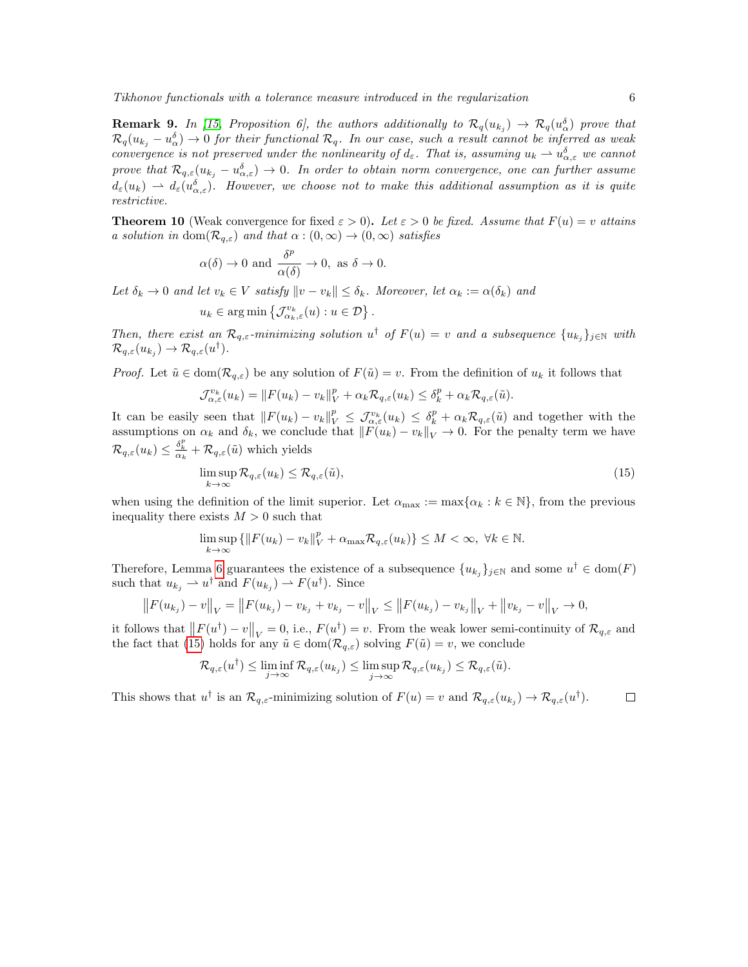**Remark 9.** In [\[15,](#page-21-2) Proposition 6], the authors additionally to  $\mathcal{R}_q(u_{k_j}) \to \mathcal{R}_q(u_{\alpha}^{\delta})$  prove that  $\mathcal{R}_q(u_{k_j}-u_{\alpha}^{\delta})\to 0$  for their functional  $\mathcal{R}_q$ . In our case, such a result cannot be inferred as weak convergence is not preserved under the nonlinearity of  $d_{\varepsilon}$ . That is, assuming  $u_k \to u_{\alpha,\varepsilon}^{\delta}$  we cannot prove that  $\mathcal{R}_{q,\varepsilon}(u_{k_j}-u_{\alpha,\varepsilon}^{\delta})\to 0$ . In order to obtain norm convergence, one can further assume  $d_\varepsilon(u_k) \rightharpoonup d_\varepsilon(u_{\alpha,\varepsilon}^\delta).$  However, we choose not to make this additional assumption as it is quite restrictive.

**Theorem 10** (Weak convergence for fixed  $\varepsilon > 0$ ). Let  $\varepsilon > 0$  be fixed. Assume that  $F(u) = v$  attains a solution in dom $(\mathcal{R}_{q,\varepsilon})$  and that  $\alpha:(0,\infty)\to(0,\infty)$  satisfies

$$
\alpha(\delta) \to 0
$$
 and  $\frac{\delta^p}{\alpha(\delta)} \to 0$ , as  $\delta \to 0$ .

Let  $\delta_k \to 0$  and let  $v_k \in V$  satisfy  $\|v - v_k\| \leq \delta_k$ . Moreover, let  $\alpha_k := \alpha(\delta_k)$  and

$$
u_k \in \arg\min \left\{ \mathcal{J}_{\alpha_k,\varepsilon}^{v_k}(u) : u \in \mathcal{D} \right\}.
$$

Then, there exist an  $\mathcal{R}_{q,\varepsilon}$ -minimizing solution  $u^{\dagger}$  of  $F(u) = v$  and a subsequence  $\{u_{k_j}\}_{j\in\mathbb{N}}$  with  $\mathcal{R}_{q,\varepsilon}(u_{k_j}) \to \mathcal{R}_{q,\varepsilon}(u^{\dagger}).$ 

*Proof.* Let  $\tilde{u} \in \text{dom}(\mathcal{R}_{q,\varepsilon})$  be any solution of  $F(\tilde{u}) = v$ . From the definition of  $u_k$  it follows that

$$
\mathcal{J}_{\alpha,\varepsilon}^{v_k}(u_k) = ||F(u_k) - v_k||_V^p + \alpha_k \mathcal{R}_{q,\varepsilon}(u_k) \leq \delta_k^p + \alpha_k \mathcal{R}_{q,\varepsilon}(\tilde{u}).
$$

It can be easily seen that  $||F(u_k) - v_k||_V^p \leq \mathcal{J}_{\alpha,\varepsilon}^{v_k}(u_k) \leq \delta_k^p + \alpha_k \mathcal{R}_{q,\varepsilon}(\tilde{u})$  and together with the assumptions on  $\alpha_k$  and  $\delta_k$ , we conclude that  $||F(u_k) - v_k||_V \to 0$ . For the penalty term we have  $\mathcal{R}_{q,\varepsilon}(u_k) \leq \frac{\delta_k^p}{\alpha_k} + \mathcal{R}_{q,\varepsilon}(\tilde{u})$  which yields

<span id="page-5-0"></span>
$$
\limsup_{k \to \infty} \mathcal{R}_{q,\varepsilon}(u_k) \le \mathcal{R}_{q,\varepsilon}(\tilde{u}),\tag{15}
$$

when using the definition of the limit superior. Let  $\alpha_{\text{max}} := \max{\{\alpha_k : k \in \mathbb{N}\}}$ , from the previous inequality there exists  $M > 0$  such that

$$
\limsup_{k \to \infty} \left\{ \left\| F(u_k) - v_k \right\|_V^p + \alpha_{\max} \mathcal{R}_{q,\varepsilon}(u_k) \right\} \le M < \infty, \ \forall k \in \mathbb{N}.
$$

Therefore, Lemma [6](#page-3-0) guarantees the existence of a subsequence  $\{u_{k_j}\}_{j\in\mathbb{N}}$  and some  $u^{\dagger} \in \text{dom}(F)$ such that  $u_{k_j} \rightharpoonup u^{\dagger}$  and  $F(u_{k_j}) \rightharpoonup F(u^{\dagger})$ . Since

$$
\left\|F(u_{k_j}) - v\right\|_V = \left\|F(u_{k_j}) - v_{k_j} + v_{k_j} - v\right\|_V \le \left\|F(u_{k_j}) - v_{k_j}\right\|_V + \left\|v_{k_j} - v\right\|_V \to 0,
$$

it follows that  $||F(u^{\dagger}) - v||_V = 0$ , i.e.,  $F(u^{\dagger}) = v$ . From the weak lower semi-continuity of  $\mathcal{R}_{q,\varepsilon}$  and the fact that [\(15\)](#page-5-0) holds for any  $\tilde{u} \in \text{dom}(\mathcal{R}_{q,\varepsilon})$  solving  $F(\tilde{u}) = v$ , we conclude

$$
\mathcal{R}_{q,\varepsilon}(u^{\dagger}) \leq \liminf_{j \to \infty} \mathcal{R}_{q,\varepsilon}(u_{k_j}) \leq \limsup_{j \to \infty} \mathcal{R}_{q,\varepsilon}(u_{k_j}) \leq \mathcal{R}_{q,\varepsilon}(\tilde{u}).
$$

This shows that  $u^{\dagger}$  is an  $\mathcal{R}_{q,\varepsilon}$ -minimizing solution of  $F(u) = v$  and  $\mathcal{R}_{q,\varepsilon}(u_{k_j}) \to \mathcal{R}_{q,\varepsilon}(u^{\dagger})$ .  $\Box$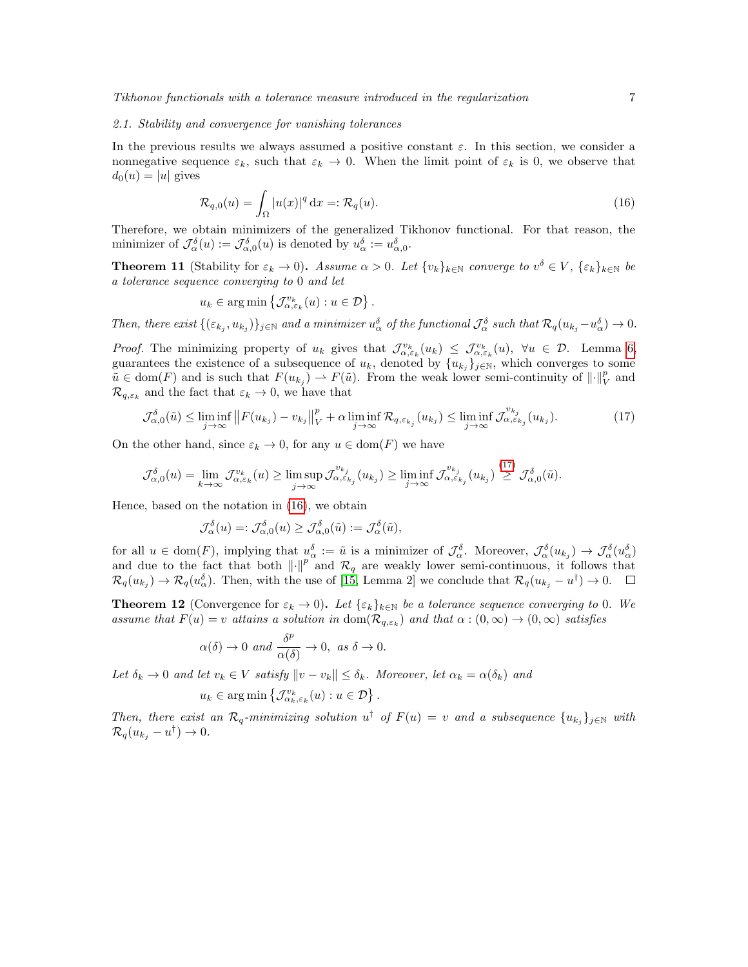#### 2.1. Stability and convergence for vanishing tolerances

In the previous results we always assumed a positive constant  $\varepsilon$ . In this section, we consider a nonnegative sequence  $\varepsilon_k$ , such that  $\varepsilon_k \to 0$ . When the limit point of  $\varepsilon_k$  is 0, we observe that  $d_0(u) = |u|$  gives

<span id="page-6-1"></span>
$$
\mathcal{R}_{q,0}(u) = \int_{\Omega} |u(x)|^q dx =: \mathcal{R}_q(u). \tag{16}
$$

Therefore, we obtain minimizers of the generalized Tikhonov functional. For that reason, the minimizer of  $\mathcal{J}_{\alpha}^{\delta}(u) := \mathcal{J}_{\alpha,0}^{\delta}(u)$  is denoted by  $u_{\alpha}^{\delta} := u_{\alpha,0}^{\delta}$ .

**Theorem 11** (Stability for  $\varepsilon_k \to 0$ ). Assume  $\alpha > 0$ . Let  $\{v_k\}_{k \in \mathbb{N}}$  converge to  $v^{\delta} \in V$ ,  $\{\varepsilon_k\}_{k \in \mathbb{N}}$  be a tolerance sequence converging to 0 and let

$$
u_k \in \arg\min \{ \mathcal{J}_{\alpha, \varepsilon_k}^{v_k}(u) : u \in \mathcal{D} \}.
$$

Then, there exist  $\{(\varepsilon_{k_j}, u_{k_j})\}_{j\in\mathbb{N}}$  and a minimizer  $u^{\delta}_{\alpha}$  of the functional  $\mathcal{J}^{\delta}_{\alpha}$  such that  $\mathcal{R}_q(u_{k_j}-u^{\delta}_{\alpha})\to 0$ .

Proof. The minimizing property of  $u_k$  gives that  $\mathcal{J}_{\alpha,\varepsilon_k}^{v_k}(u_k) \leq \mathcal{J}_{\alpha,\varepsilon_k}^{v_k}(u)$ ,  $\forall u \in \mathcal{D}$ . Lemma [6,](#page-3-0) guarantees the existence of a subsequence of  $u_k$ , denoted by  $\{u_{k_j}\}_{j\in\mathbb{N}}$ , which converges to some  $\tilde{u} \in \text{dom}(F)$  and is such that  $F(u_{k_j}) \to F(\tilde{u})$ . From the weak lower semi-continuity of  $\lVert \cdot \rVert_V^p$  and  $\mathcal{R}_{q,\varepsilon_k}$  and the fact that  $\varepsilon_k \to 0$ , we have that

<span id="page-6-0"></span>
$$
\mathcal{J}_{\alpha,0}^{\delta}(\tilde{u}) \le \liminf_{j \to \infty} \|F(u_{k_j}) - v_{k_j}\|_{V}^p + \alpha \liminf_{j \to \infty} \mathcal{R}_{q,\varepsilon_{k_j}}(u_{k_j}) \le \liminf_{j \to \infty} \mathcal{J}_{\alpha,\varepsilon_{k_j}}^{v_{k_j}}(u_{k_j}).
$$
\n(17)

On the other hand, since  $\varepsilon_k \to 0$ , for any  $u \in \text{dom}(F)$  we have

$$
\mathcal{J}_{\alpha,0}^{\delta}(u) = \lim_{k \to \infty} \mathcal{J}_{\alpha,\varepsilon_k}^{v_k}(u) \ge \limsup_{j \to \infty} \mathcal{J}_{\alpha,\varepsilon_{k_j}}^{v_{k_j}}(u_{k_j}) \ge \liminf_{j \to \infty} \mathcal{J}_{\alpha,\varepsilon_{k_j}}^{v_{k_j}}(u_{k_j}) \stackrel{(17)}{\geq} \mathcal{J}_{\alpha,0}^{\delta}(\tilde{u}).
$$

Hence, based on the notation in [\(16\)](#page-6-1), we obtain

$$
\mathcal{J}_{\alpha}^{\delta}(u)=:\mathcal{J}_{\alpha,0}^{\delta}(u)\geq \mathcal{J}_{\alpha,0}^{\delta}(\tilde{u}):=\mathcal{J}_{\alpha}^{\delta}(\tilde{u}),
$$

for all  $u \in \text{dom}(F)$ , implying that  $u_{\alpha}^{\delta} := \tilde{u}$  is a minimizer of  $\mathcal{J}_{\alpha}^{\delta}$ . Moreover,  $\mathcal{J}_{\alpha}^{\delta}(u_{k_j}) \to \mathcal{J}_{\alpha}^{\delta}(u_{\alpha}^{\delta})$ and due to the fact that both  $\left\|\cdot\right\|^p$  and  $\mathcal{R}_q$  are weakly lower semi-continuous, it follows that  $\mathcal{R}_q(u_{kj}) \to \mathcal{R}_q(u_{\alpha}^{\delta})$ . Then, with the use of [\[15,](#page-21-2) Lemma 2] we conclude that  $\mathcal{R}_q(u_{kj} - u^{\dagger}) \to 0$ .

**Theorem 12** (Convergence for  $\varepsilon_k \to 0$ ). Let  $\{\varepsilon_k\}_{k\in\mathbb{N}}$  be a tolerance sequence converging to 0. We assume that  $F(u) = v$  attains a solution in  $dom(\mathcal{R}_{q,\varepsilon_k})$  and that  $\alpha : (0,\infty) \to (0,\infty)$  satisfies

$$
\alpha(\delta) \to 0 \text{ and } \frac{\delta^p}{\alpha(\delta)} \to 0, \text{ as } \delta \to 0.
$$

Let  $\delta_k \to 0$  and let  $v_k \in V$  satisfy  $\|v - v_k\| \leq \delta_k$ . Moreover, let  $\alpha_k = \alpha(\delta_k)$  and

$$
u_k \in \arg\min \left\{ \mathcal{J}_{\alpha_k, \varepsilon_k}^{v_k}(u) : u \in \mathcal{D} \right\}
$$

Then, there exist an  $\mathcal{R}_q$ -minimizing solution  $u^{\dagger}$  of  $F(u) = v$  and a subsequence  $\{u_{k_j}\}_{j \in \mathbb{N}}$  with  $\mathcal{R}_q(u_{k_j}-u^{\dagger})\to 0.$ 

.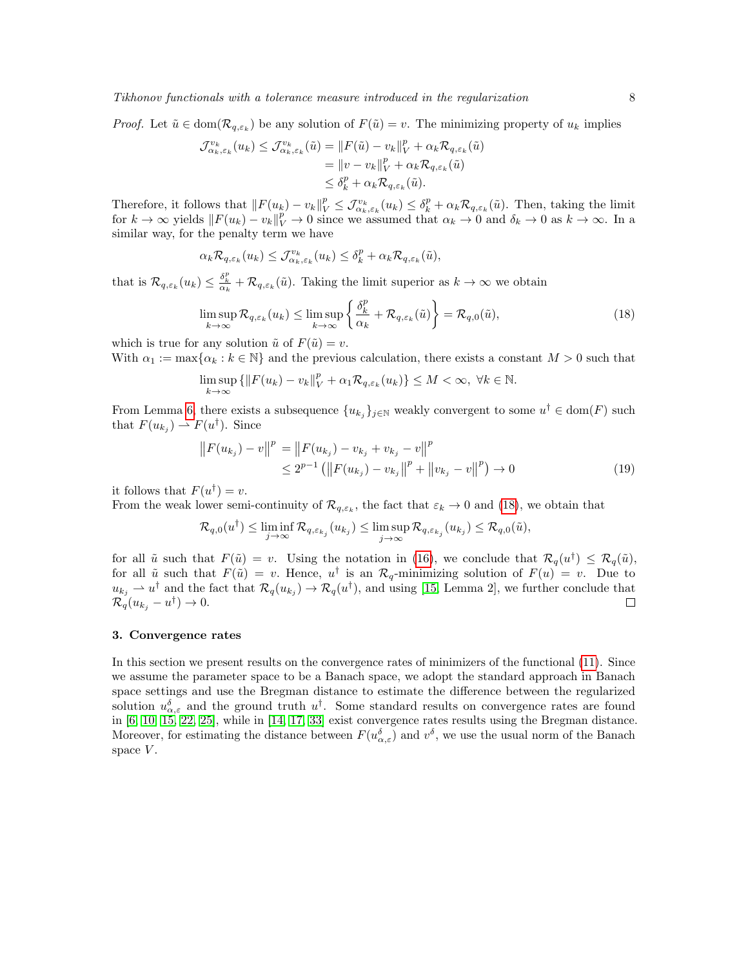*Proof.* Let  $\tilde{u} \in \text{dom}(\mathcal{R}_{q,\varepsilon_k})$  be any solution of  $F(\tilde{u}) = v$ . The minimizing property of  $u_k$  implies

$$
\mathcal{J}_{\alpha_k, \varepsilon_k}^{v_k}(u_k) \leq \mathcal{J}_{\alpha_k, \varepsilon_k}^{v_k}(\tilde{u}) = ||F(\tilde{u}) - v_k||_V^p + \alpha_k \mathcal{R}_{q, \varepsilon_k}(\tilde{u})
$$
  
=  $||v - v_k||_V^p + \alpha_k \mathcal{R}_{q, \varepsilon_k}(\tilde{u})$   
 $\leq \delta_k^p + \alpha_k \mathcal{R}_{q, \varepsilon_k}(\tilde{u}).$ 

Therefore, it follows that  $||F(u_k) - v_k||_V^p \leq \mathcal{J}_{\alpha_k, \varepsilon_k}^{v_k}(u_k) \leq \delta_k^p + \alpha_k \mathcal{R}_{q, \varepsilon_k}(\tilde{u})$ . Then, taking the limit for  $k \to \infty$  yields  $||F(u_k) - v_k||_V^p \to 0$  since we assumed that  $\alpha_k \to 0$  and  $\delta_k \to 0$  as  $k \to \infty$ . In a similar way, for the penalty term we have

$$
\alpha_k \mathcal{R}_{q,\varepsilon_k}(u_k) \leq \mathcal{J}_{\alpha_k,\varepsilon_k}^{v_k}(u_k) \leq \delta_k^p + \alpha_k \mathcal{R}_{q,\varepsilon_k}(\tilde{u}),
$$

that is  $\mathcal{R}_{q,\varepsilon_k}(u_k) \leq \frac{\delta_k^p}{\alpha_k} + \mathcal{R}_{q,\varepsilon_k}(\tilde{u})$ . Taking the limit superior as  $k \to \infty$  we obtain

<span id="page-7-0"></span>
$$
\limsup_{k \to \infty} \mathcal{R}_{q,\varepsilon_k}(u_k) \le \limsup_{k \to \infty} \left\{ \frac{\delta_k^p}{\alpha_k} + \mathcal{R}_{q,\varepsilon_k}(\tilde{u}) \right\} = \mathcal{R}_{q,0}(\tilde{u}),\tag{18}
$$

which is true for any solution  $\tilde{u}$  of  $F(\tilde{u}) = v$ .

With  $\alpha_1 := \max{\{\alpha_k : k \in \mathbb{N}\}\}$  and the previous calculation, there exists a constant  $M > 0$  such that

$$
\limsup_{k \to \infty} \{ ||F(u_k) - v_k||_V^p + \alpha_1 \mathcal{R}_{q, \varepsilon_k}(u_k) \} \le M < \infty, \ \forall k \in \mathbb{N}.
$$

From Lemma [6,](#page-3-0) there exists a subsequence  $\{u_{k_j}\}_{j\in\mathbb{N}}$  weakly convergent to some  $u^{\dagger} \in \text{dom}(F)$  such that  $F(u_{k_j}) \rightharpoonup F(u^{\dagger})$ . Since

$$
||F(u_{k_j}) - v||^p = ||F(u_{k_j}) - v_{k_j} + v_{k_j} - v||^p
$$
  
\n
$$
\leq 2^{p-1} (||F(u_{k_j}) - v_{k_j}||^p + ||v_{k_j} - v||^p) \to 0
$$
\n(19)

it follows that  $F(u^{\dagger}) = v$ .

From the weak lower semi-continuity of  $\mathcal{R}_{q,\varepsilon_k}$ , the fact that  $\varepsilon_k \to 0$  and [\(18\)](#page-7-0), we obtain that

$$
\mathcal{R}_{q,0}(u^{\dagger}) \leq \liminf_{j \to \infty} \mathcal{R}_{q,\varepsilon_{k_j}}(u_{k_j}) \leq \limsup_{j \to \infty} \mathcal{R}_{q,\varepsilon_{k_j}}(u_{k_j}) \leq \mathcal{R}_{q,0}(\tilde{u}),
$$

for all  $\tilde{u}$  such that  $F(\tilde{u}) = v$ . Using the notation in [\(16\)](#page-6-1), we conclude that  $\mathcal{R}_q(u^{\dagger}) \leq \mathcal{R}_q(\tilde{u})$ , for all  $\tilde{u}$  such that  $F(\tilde{u}) = v$ . Hence,  $u^{\dagger}$  is an  $\mathcal{R}_q$ -minimizing solution of  $F(u) = v$ . Due to  $u_{k_j} \rightharpoonup u^{\dagger}$  and the fact that  $\mathcal{R}_q(u_{k_j}) \to \mathcal{R}_q(u^{\dagger}),$  and using [\[15,](#page-21-2) Lemma 2], we further conclude that  $\mathcal{R}_q(u_{k_j}-u^{\dagger})\to 0.$  $\Box$ 

### 3. Convergence rates

In this section we present results on the convergence rates of minimizers of the functional [\(11\)](#page-3-1). Since we assume the parameter space to be a Banach space, we adopt the standard approach in Banach space settings and use the Bregman distance to estimate the difference between the regularized solution  $u_{\alpha,\varepsilon}^{\delta}$  and the ground truth  $u^{\dagger}$ . Some standard results on convergence rates are found in  $[6, 10, 15, 22, 25]$  $[6, 10, 15, 22, 25]$  $[6, 10, 15, 22, 25]$  $[6, 10, 15, 22, 25]$  $[6, 10, 15, 22, 25]$  $[6, 10, 15, 22, 25]$  $[6, 10, 15, 22, 25]$  $[6, 10, 15, 22, 25]$  $[6, 10, 15, 22, 25]$ , while in  $[14, 17, 33]$  $[14, 17, 33]$  $[14, 17, 33]$  $[14, 17, 33]$  $[14, 17, 33]$  exist convergence rates results using the Bregman distance. Moreover, for estimating the distance between  $F(u_{\alpha,\varepsilon}^{\delta})$  and  $v^{\delta}$ , we use the usual norm of the Banach space  $V$ .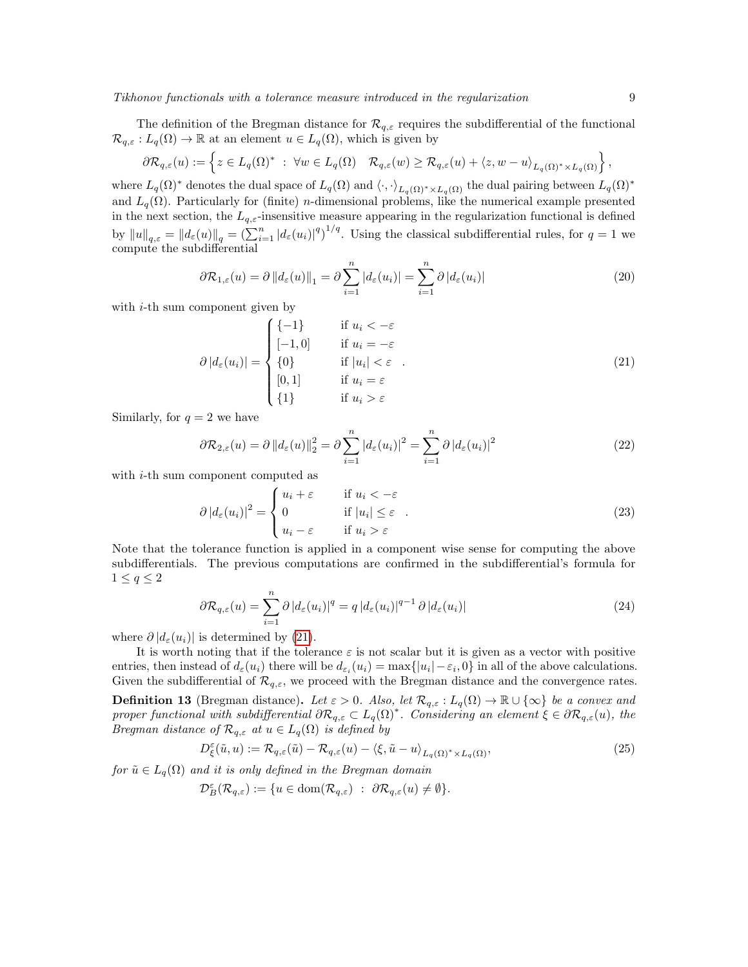The definition of the Bregman distance for  $\mathcal{R}_{q,\varepsilon}$  requires the subdifferential of the functional  $\mathcal{R}_{q,\varepsilon}: L_q(\Omega) \to \mathbb{R}$  at an element  $u \in L_q(\Omega)$ , which is given by

$$
\partial \mathcal{R}_{q,\varepsilon}(u) := \left\{ z \in L_q(\Omega)^* \; : \; \forall w \in L_q(\Omega) \quad \mathcal{R}_{q,\varepsilon}(w) \geq \mathcal{R}_{q,\varepsilon}(u) + \langle z, w - u \rangle_{L_q(\Omega)^* \times L_q(\Omega)} \right\},
$$

where  $L_q(\Omega)^*$  denotes the dual space of  $L_q(\Omega)$  and  $\langle \cdot, \cdot \rangle_{L_q(\Omega)^* \times L_q(\Omega)}$  the dual pairing between  $L_q(\Omega)^*$ and  $L_q(\Omega)$ . Particularly for (finite) *n*-dimensional problems, like the numerical example presented in the next section, the  $L_{q,\varepsilon}$ -insensitive measure appearing in the regularization functional is defined by  $||u||_{q,\varepsilon} = ||d_{\varepsilon}(u)||_q = \left(\sum_{i=1}^n |d_{\varepsilon}(u_i)|^q\right)^{1/q}$ . Using the classical subdifferential rules, for  $q = 1$  we compute the subdifferential

$$
\partial \mathcal{R}_{1,\varepsilon}(u) = \partial \|d_{\varepsilon}(u)\|_{1} = \partial \sum_{i=1}^{n} |d_{\varepsilon}(u_{i})| = \sum_{i=1}^{n} \partial |d_{\varepsilon}(u_{i})| \tag{20}
$$

with *i*-th sum component given by

<span id="page-8-0"></span>
$$
\partial |d_{\varepsilon}(u_i)| = \begin{cases}\n\{-1\} & \text{if } u_i < -\varepsilon \\
[-1, 0] & \text{if } u_i = -\varepsilon \\
\{0\} & \text{if } |u_i| < \varepsilon \\
[0, 1] & \text{if } u_i = \varepsilon \\
\{1\} & \text{if } u_i > \varepsilon\n\end{cases}
$$
\n(21)

Similarly, for  $q = 2$  we have

$$
\partial \mathcal{R}_{2,\varepsilon}(u) = \partial \|d_{\varepsilon}(u)\|_{2}^{2} = \partial \sum_{i=1}^{n} |d_{\varepsilon}(u_{i})|^{2} = \sum_{i=1}^{n} \partial |d_{\varepsilon}(u_{i})|^{2}
$$
\n(22)

with  $i$ -th sum component computed as

$$
\partial |d_{\varepsilon}(u_i)|^2 = \begin{cases} u_i + \varepsilon & \text{if } u_i < -\varepsilon \\ 0 & \text{if } |u_i| \le \varepsilon \\ u_i - \varepsilon & \text{if } u_i > \varepsilon \end{cases}
$$
 (23)

Note that the tolerance function is applied in a component wise sense for computing the above subdifferentials. The previous computations are confirmed in the subdifferential's formula for  $1 \leq q \leq 2$ 

$$
\partial \mathcal{R}_{q,\varepsilon}(u) = \sum_{i=1}^{n} \partial |d_{\varepsilon}(u_i)|^q = q |d_{\varepsilon}(u_i)|^{q-1} \partial |d_{\varepsilon}(u_i)| \tag{24}
$$

where  $\partial |d_{\varepsilon}(u_i)|$  is determined by [\(21\)](#page-8-0).

It is worth noting that if the tolerance  $\varepsilon$  is not scalar but it is given as a vector with positive entries, then instead of  $d_{\varepsilon}(u_i)$  there will be  $d_{\varepsilon_i}(u_i) = \max\{|u_i| - \varepsilon_i, 0\}$  in all of the above calculations. Given the subdifferential of  $\mathcal{R}_{q,\varepsilon}$ , we proceed with the Bregman distance and the convergence rates. **Definition 13** (Bregman distance). Let  $\varepsilon > 0$ . Also, let  $\mathcal{R}_{q,\varepsilon}: L_q(\Omega) \to \mathbb{R} \cup \{\infty\}$  be a convex and proper functional with subdifferential  $\partial \mathcal{R}_{q,\varepsilon} \subset L_q(\Omega)^*$ . Considering an element  $\xi \in \partial \mathcal{R}_{q,\varepsilon}(u)$ , the Bregman distance of  $\mathcal{R}_{q,\varepsilon}$  at  $u \in L_q(\Omega)$  is defined by

$$
D_{\xi}^{\varepsilon}(\tilde{u}, u) := \mathcal{R}_{q,\varepsilon}(\tilde{u}) - \mathcal{R}_{q,\varepsilon}(u) - \langle \xi, \tilde{u} - u \rangle_{L_q(\Omega)^* \times L_q(\Omega)},
$$
\n(25)

for  $\tilde{u} \in L_q(\Omega)$  and it is only defined in the Bregman domain

$$
\mathcal{D}_B^{\varepsilon}(\mathcal{R}_{q,\varepsilon}) := \{ u \in \text{dom}(\mathcal{R}_{q,\varepsilon}) \ : \ \partial \mathcal{R}_{q,\varepsilon}(u) \neq \emptyset \}.
$$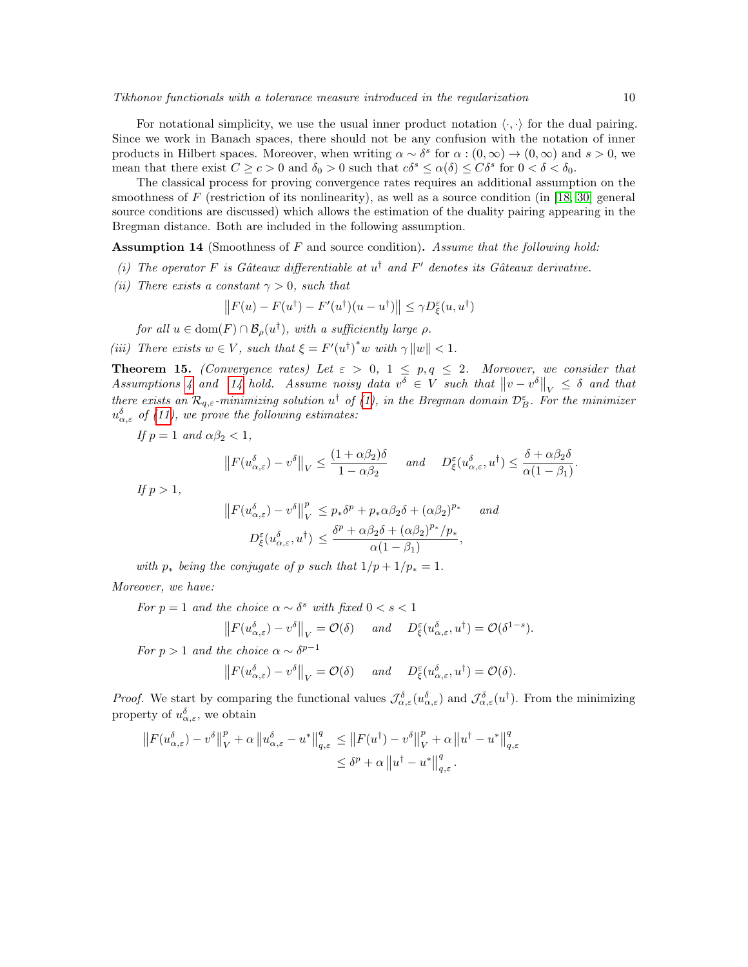For notational simplicity, we use the usual inner product notation  $\langle \cdot, \cdot \rangle$  for the dual pairing. Since we work in Banach spaces, there should not be any confusion with the notation of inner products in Hilbert spaces. Moreover, when writing  $\alpha \sim \delta^s$  for  $\alpha : (0, \infty) \to (0, \infty)$  and  $s > 0$ , we mean that there exist  $C \ge c > 0$  and  $\delta_0 > 0$  such that  $c\delta^s \le \alpha(\delta) \le C\delta^s$  for  $0 < \delta < \delta_0$ .

The classical process for proving convergence rates requires an additional assumption on the smoothness of  $F$  (restriction of its nonlinearity), as well as a source condition (in [\[18,](#page-21-18) [30\]](#page-22-2) general source conditions are discussed) which allows the estimation of the duality pairing appearing in the Bregman distance. Both are included in the following assumption.

<span id="page-9-0"></span>Assumption 14 (Smoothness of F and source condition). Assume that the following hold:

- (i) The operator F is Gâteaux differentiable at  $u^{\dagger}$  and F' denotes its Gâteaux derivative.
- (ii) There exists a constant  $\gamma > 0$ , such that

$$
||F(u) - F(u^{\dagger}) - F'(u^{\dagger})(u - u^{\dagger})|| \le \gamma D_{\xi}^{\varepsilon}(u, u^{\dagger})
$$

for all  $u \in \text{dom}(F) \cap \mathcal{B}_{\rho}(u^{\dagger}),$  with a sufficiently large  $\rho$ .

(iii) There exists  $w \in V$ , such that  $\xi = F'(u^{\dagger})^* w$  with  $\gamma ||w|| < 1$ .

**Theorem 15.** (Convergence rates) Let  $\varepsilon > 0$ ,  $1 \leq p, q \leq 2$ . Moreover, we consider that Assumptions [4](#page-0-0) and [14](#page-9-0) hold. Assume noisy data  $v^{\delta} \in V$  such that  $||v - v^{\delta}||_V \leq \delta$  and that there exists an  $\mathcal{R}_{q,\varepsilon}$ -minimizing solution  $u^{\dagger}$  of [\(1\)](#page-0-1), in the Bregman domain  $\mathcal{D}_{B}^{\varepsilon}$ . For the minimizer  $u_{\alpha,\varepsilon}^{\delta}$  of [\(11\)](#page-3-1), we prove the following estimates:

If  $p = 1$  and  $\alpha \beta_2 < 1$ ,

$$
\left\|F(u_{\alpha,\varepsilon}^{\delta}) - v^{\delta}\right\|_{V} \le \frac{(1+\alpha\beta_2)\delta}{1-\alpha\beta_2} \quad \text{and} \quad D_{\xi}^{\varepsilon}(u_{\alpha,\varepsilon}^{\delta}, u^{\dagger}) \le \frac{\delta + \alpha\beta_2\delta}{\alpha(1-\beta_1)}.
$$

If  $p > 1$ ,

$$
||F(u_{\alpha,\varepsilon}^{\delta}) - v^{\delta}||_{V}^{p} \le p_*\delta^{p} + p_*\alpha\beta_2\delta + (\alpha\beta_2)^{p_*} \quad \text{and}
$$

$$
D_{\xi}^{\varepsilon}(u_{\alpha,\varepsilon}^{\delta}, u^{\dagger}) \le \frac{\delta^{p} + \alpha\beta_2\delta + (\alpha\beta_2)^{p_*}/p_*}{\alpha(1 - \beta_1)},
$$

with  $p_*$  being the conjugate of p such that  $1/p + 1/p_* = 1$ . Moreover, we have:

For  $p = 1$  and the choice  $\alpha \sim \delta^s$  with fixed  $0 < s < 1$  $\left\| F(u_{\alpha,\varepsilon}^{\delta}) - v^{\delta} \right\|_{V} = \mathcal{O}(\delta) \quad \text{and} \quad D_{\xi}^{\varepsilon}(u_{\alpha,\varepsilon}^{\delta}, u^{\dagger}) = \mathcal{O}(\delta^{1-s}).$ For  $p > 1$  and the choice  $\alpha \sim \delta^{p-1}$  $\left\| F(u_{\alpha,\varepsilon}^{\delta}) - v^{\delta} \right\|_{V} = \mathcal{O}(\delta) \quad \text{and} \quad D_{\xi}^{\varepsilon}(u_{\alpha,\varepsilon}^{\delta}, u^{\dagger}) = \mathcal{O}(\delta).$ 

*Proof.* We start by comparing the functional values  $\mathcal{J}_{\alpha,\varepsilon}^{\delta}(u_{\alpha,\varepsilon}^{\delta})$  and  $\mathcal{J}_{\alpha,\varepsilon}^{\delta}(u^{\dagger})$ . From the minimizing property of  $u_{\alpha,\varepsilon}^{\delta}$ , we obtain

$$
||F(u_{\alpha,\varepsilon}^{\delta}) - v^{\delta}||_{V}^{p} + \alpha ||u_{\alpha,\varepsilon}^{\delta} - u^{*}||_{q,\varepsilon}^{q} \leq ||F(u^{t}) - v^{\delta}||_{V}^{p} + \alpha ||u^{t} - u^{*}||_{q,\varepsilon}^{q}
$$
  

$$
\leq \delta^{p} + \alpha ||u^{t} - u^{*}||_{q,\varepsilon}^{q}.
$$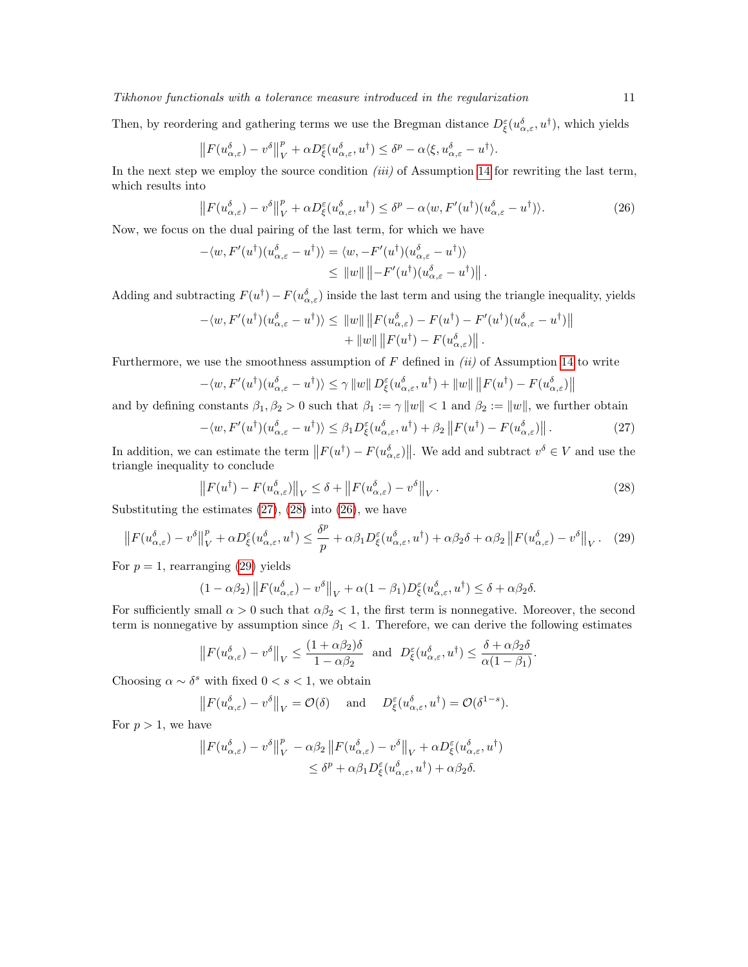Then, by reordering and gathering terms we use the Bregman distance  $D_{\xi}^{\varepsilon}(u_{\alpha,\varepsilon}^{\delta},u^{\dagger})$ , which yields

$$
||F(u_{\alpha,\varepsilon}^{\delta}) - v^{\delta}||_{V}^{p} + \alpha D_{\xi}^{\varepsilon}(u_{\alpha,\varepsilon}^{\delta}, u^{\dagger}) \leq \delta^{p} - \alpha \langle \xi, u_{\alpha,\varepsilon}^{\delta} - u^{\dagger} \rangle.
$$

In the next step we employ the source condition *(iii)* of Assumption [14](#page-9-0) for rewriting the last term, which results into

<span id="page-10-2"></span>
$$
\left\|F(u_{\alpha,\varepsilon}^{\delta}) - v^{\delta}\right\|_{V}^{p} + \alpha D_{\xi}^{\varepsilon}(u_{\alpha,\varepsilon}^{\delta}, u^{\dagger}) \leq \delta^{p} - \alpha \langle w, F'(u^{\dagger})(u_{\alpha,\varepsilon}^{\delta} - u^{\dagger})\rangle. \tag{26}
$$

Now, we focus on the dual pairing of the last term, for which we have

$$
-\langle w, F'(u^{\dagger})(u_{\alpha,\varepsilon}^{\delta} - u^{\dagger})\rangle = \langle w, -F'(u^{\dagger})(u_{\alpha,\varepsilon}^{\delta} - u^{\dagger})\rangle
$$
  

$$
\leq ||w|| ||-F'(u^{\dagger})(u_{\alpha,\varepsilon}^{\delta} - u^{\dagger})||.
$$

Adding and subtracting  $F(u^{\dagger}) - F(u^{\delta}_{\alpha,\varepsilon})$  inside the last term and using the triangle inequality, yields

$$
-\langle w, F'(u^{\dagger})(u_{\alpha,\varepsilon}^{\delta} - u^{\dagger}) \rangle \leq ||w|| ||F(u_{\alpha,\varepsilon}^{\delta}) - F(u^{\dagger}) - F'(u^{\dagger})(u_{\alpha,\varepsilon}^{\delta} - u^{\dagger})||
$$
  
+ 
$$
||w|| ||F(u^{\dagger}) - F(u_{\alpha,\varepsilon}^{\delta})||.
$$

Furthermore, we use the smoothness assumption of  $F$  defined in *(ii)* of Assumption [14](#page-9-0) to write

$$
-\langle w, F'(u^{\dagger})(u_{\alpha,\varepsilon}^{\delta} - u^{\dagger})\rangle \leq \gamma ||w|| D_{\xi}^{\varepsilon}(u_{\alpha,\varepsilon}^{\delta}, u^{\dagger}) + ||w|| ||F(u^{\dagger}) - F(u_{\alpha,\varepsilon}^{\delta})||
$$

and by defining constants  $\beta_1, \beta_2 > 0$  such that  $\beta_1 := \gamma ||w|| < 1$  and  $\beta_2 := ||w||$ , we further obtain

<span id="page-10-0"></span>
$$
-\langle w, F'(u^{\dagger})(u_{\alpha,\varepsilon}^{\delta} - u^{\dagger})\rangle \leq \beta_1 D_{\xi}^{\varepsilon}(u_{\alpha,\varepsilon}^{\delta}, u^{\dagger}) + \beta_2 \|F(u^{\dagger}) - F(u_{\alpha,\varepsilon}^{\delta})\|.
$$
 (27)

In addition, we can estimate the term  $||F(u^{\dagger}) - F(u^{\delta}_{\alpha,\varepsilon})||$ . We add and subtract  $v^{\delta} \in V$  and use the triangle inequality to conclude

<span id="page-10-3"></span><span id="page-10-1"></span>
$$
\left\|F(u^{\dagger}) - F(u^{\delta}_{\alpha,\varepsilon})\right\|_{V} \leq \delta + \left\|F(u^{\delta}_{\alpha,\varepsilon}) - v^{\delta}\right\|_{V}.
$$
\n(28)

Substituting the estimates  $(27)$ ,  $(28)$  into  $(26)$ , we have

$$
\left\|F(u_{\alpha,\varepsilon}^{\delta}) - v^{\delta}\right\|_{V}^{p} + \alpha D_{\xi}^{\varepsilon}(u_{\alpha,\varepsilon}^{\delta}, u^{\dagger}) \leq \frac{\delta^{p}}{p} + \alpha\beta_{1}D_{\xi}^{\varepsilon}(u_{\alpha,\varepsilon}^{\delta}, u^{\dagger}) + \alpha\beta_{2}\delta + \alpha\beta_{2} \left\|F(u_{\alpha,\varepsilon}^{\delta}) - v^{\delta}\right\|_{V}. \tag{29}
$$

For  $p = 1$ , rearranging [\(29\)](#page-10-3) yields

$$
(1 - \alpha \beta_2) \| F(u_{\alpha, \varepsilon}^{\delta}) - v^{\delta} \|_{V} + \alpha (1 - \beta_1) D_{\xi}^{\varepsilon} (u_{\alpha, \varepsilon}^{\delta}, u^{\dagger}) \leq \delta + \alpha \beta_2 \delta.
$$

For sufficiently small  $\alpha > 0$  such that  $\alpha \beta_2 < 1$ , the first term is nonnegative. Moreover, the second term is nonnegative by assumption since  $\beta_1$  < 1. Therefore, we can derive the following estimates

$$
\left\|F(u_{\alpha,\varepsilon}^{\delta}) - v^{\delta}\right\|_{V} \le \frac{(1+\alpha\beta_2)\delta}{1-\alpha\beta_2} \text{ and } D_{\xi}^{\varepsilon}(u_{\alpha,\varepsilon}^{\delta},u^{\dagger}) \le \frac{\delta + \alpha\beta_2\delta}{\alpha(1-\beta_1)}.
$$

Choosing  $\alpha \sim \delta^s$  with fixed  $0 < s < 1$ , we obtain

$$
||F(u_{\alpha,\varepsilon}^{\delta}) - v^{\delta}||_{V} = \mathcal{O}(\delta)
$$
 and  $D_{\xi}^{\varepsilon}(u_{\alpha,\varepsilon}^{\delta}, u^{\dagger}) = \mathcal{O}(\delta^{1-s}).$ 

For  $p > 1$ , we have

$$
||F(u_{\alpha,\varepsilon}^{\delta}) - v^{\delta}||_{V}^{p} - \alpha \beta_{2} ||F(u_{\alpha,\varepsilon}^{\delta}) - v^{\delta}||_{V} + \alpha D_{\xi}^{\varepsilon}(u_{\alpha,\varepsilon}^{\delta}, u^{\dagger})
$$
  

$$
\leq \delta^{p} + \alpha \beta_{1} D_{\xi}^{\varepsilon}(u_{\alpha,\varepsilon}^{\delta}, u^{\dagger}) + \alpha \beta_{2} \delta.
$$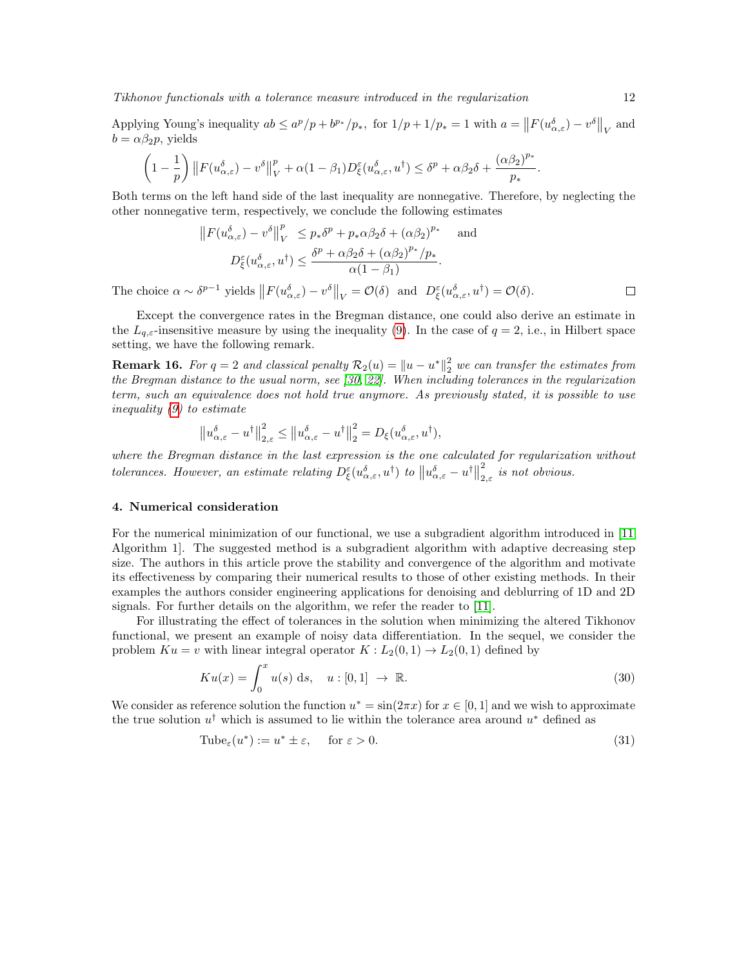Tikhonov functionals with a tolerance measure introduced in the regularization 12

Applying Young's inequality  $ab \le a^p/p + b^{p_*}/p_*$ , for  $1/p + 1/p_* = 1$  with  $a = ||F(u_{\alpha,\varepsilon}^{\delta}) - v^{\delta}||_V$  and  $b = \alpha \beta_2 p$ , yields

$$
\left(1-\frac{1}{p}\right)\left\|F(u_{\alpha,\varepsilon}^\delta)-v^\delta\right\|_{V}^p+\alpha(1-\beta_1)D^\varepsilon_\xi(u_{\alpha,\varepsilon}^\delta,u^\dagger)\leq \delta^p+\alpha\beta_2\delta+\frac{(\alpha\beta_2)^{p_*}}{p_*}.
$$

Both terms on the left hand side of the last inequality are nonnegative. Therefore, by neglecting the other nonnegative term, respectively, we conclude the following estimates

$$
||F(u_{\alpha,\varepsilon}^{\delta}) - v^{\delta}||_{V}^{p} \le p_*\delta^{p} + p_*\alpha\beta_2\delta + (\alpha\beta_2)^{p_*} \quad \text{and}
$$

$$
D_{\xi}^{\varepsilon}(u_{\alpha,\varepsilon}^{\delta}, u^{\dagger}) \le \frac{\delta^{p} + \alpha\beta_2\delta + (\alpha\beta_2)^{p_*}/p_*}{\alpha(1-\beta_1)}.
$$

The choice  $\alpha \sim \delta^{p-1}$  yields  $||F(u_{\alpha,\varepsilon}^{\delta}) - v^{\delta}||_V = \mathcal{O}(\delta)$  and  $D_{\xi}^{\varepsilon}(u_{\alpha,\varepsilon}^{\delta}, u^{\dagger}) = \mathcal{O}(\delta)$ .

Except the convergence rates in the Bregman distance, one could also derive an estimate in the  $L_{q,\varepsilon}$ -insensitive measure by using the inequality [\(9\)](#page-2-2). In the case of  $q=2$ , i.e., in Hilbert space setting, we have the following remark.

**Remark 16.** For  $q = 2$  and classical penalty  $\mathcal{R}_2(u) = ||u - u^*||_2^2$  we can transfer the estimates from the Bregman distance to the usual norm, see [\[30,](#page-22-2) [22\]](#page-21-4). When including tolerances in the regularization term, such an equivalence does not hold true anymore. As previously stated, it is possible to use inequality [\(9\)](#page-2-2) to estimate

$$
\left\|u_{\alpha,\varepsilon}^{\delta}-u^{\dagger}\right\|_{2,\varepsilon}^{2} \leq\left\|u_{\alpha,\varepsilon}^{\delta}-u^{\dagger}\right\|_{2}^{2}=D_{\xi}(u_{\alpha,\varepsilon}^{\delta},u^{\dagger}),
$$

where the Bregman distance in the last expression is the one calculated for regularization without tolerances. However, an estimate relating  $D_{\xi}^{\varepsilon}(u_{\alpha,\varepsilon}^{\delta}, u^{\dagger})$  to  $||u_{\alpha,\varepsilon}^{\delta} - u^{\dagger}||$ 2  $\sum_{2,\varepsilon}$  is not obvious.

# 4. Numerical consideration

For the numerical minimization of our functional, we use a subgradient algorithm introduced in [\[11,](#page-21-8) Algorithm 1]. The suggested method is a subgradient algorithm with adaptive decreasing step size. The authors in this article prove the stability and convergence of the algorithm and motivate its effectiveness by comparing their numerical results to those of other existing methods. In their examples the authors consider engineering applications for denoising and deblurring of 1D and 2D signals. For further details on the algorithm, we refer the reader to [\[11\]](#page-21-8).

For illustrating the effect of tolerances in the solution when minimizing the altered Tikhonov functional, we present an example of noisy data differentiation. In the sequel, we consider the problem  $Ku = v$  with linear integral operator  $K : L_2(0,1) \to L_2(0,1)$  defined by

$$
Ku(x) = \int_0^x u(s) \, ds, \quad u: [0,1] \to \mathbb{R}.
$$
 (30)

We consider as reference solution the function  $u^* = \sin(2\pi x)$  for  $x \in [0, 1]$  and we wish to approximate the true solution  $u^{\dagger}$  which is assumed to lie within the tolerance area around  $u^*$  defined as

<span id="page-11-0"></span>
$$
\text{Tube}_{\varepsilon}(u^*) := u^* \pm \varepsilon, \quad \text{ for } \varepsilon > 0. \tag{31}
$$

 $\Box$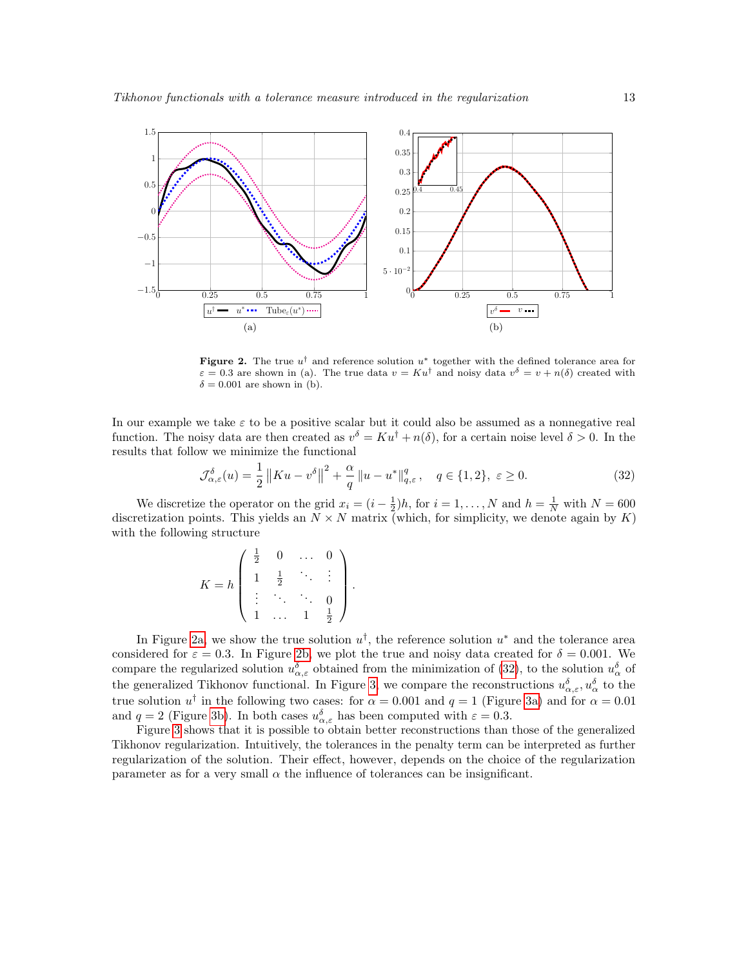<span id="page-12-0"></span>

<span id="page-12-1"></span>**Figure 2.** The true  $u^{\dagger}$  and reference solution  $u^*$  together with the defined tolerance area for  $\varepsilon = 0.3$  are shown in (a). The true data  $v = Ku^{\dagger}$  and noisy data  $v^{\delta} = v + n(\delta)$  created with  $\delta = 0.001$  are shown in (b).

In our example we take  $\varepsilon$  to be a positive scalar but it could also be assumed as a nonnegative real function. The noisy data are then created as  $v^{\delta} = Ku^{\dagger} + n(\delta)$ , for a certain noise level  $\delta > 0$ . In the results that follow we minimize the functional

<span id="page-12-2"></span>
$$
\mathcal{J}_{\alpha,\varepsilon}^{\delta}(u) = \frac{1}{2} \left\| K u - v^{\delta} \right\|^{2} + \frac{\alpha}{q} \left\| u - u^{*} \right\|_{q,\varepsilon}^{q}, \quad q \in \{1,2\}, \ \varepsilon \ge 0. \tag{32}
$$

We discretize the operator on the grid  $x_i = (i - \frac{1}{2})h$ , for  $i = 1, ..., N$  and  $h = \frac{1}{N}$  with  $N = 600$ discretization points. This yields an  $N \times N$  matrix (which, for simplicity, we denote again by  $K$ ) with the following structure

$$
K = h \left( \begin{array}{cccc} \frac{1}{2} & 0 & \dots & 0 \\ 1 & \frac{1}{2} & \ddots & \vdots \\ \vdots & \ddots & \ddots & 0 \\ 1 & \dots & 1 & \frac{1}{2} \end{array} \right).
$$

In Figure [2a,](#page-12-0) we show the true solution  $u^{\dagger}$ , the reference solution  $u^*$  and the tolerance area considered for  $\varepsilon = 0.3$ . In Figure [2b,](#page-12-1) we plot the true and noisy data created for  $\delta = 0.001$ . We compare the regularized solution  $u_{\alpha,\varepsilon}^{\delta}$  obtained from the minimization of [\(32\)](#page-12-2), to the solution  $u_{\alpha}^{\delta}$  of the generalized Tikhonov functional. In Figure [3,](#page-13-0) we compare the reconstructions  $u_{\alpha,\varepsilon}^{\delta}, u_{\alpha}^{\delta}$  to the true solution  $u^{\dagger}$  in the following two cases: for  $\alpha = 0.001$  and  $q = 1$  (Figure [3a\)](#page-13-1) and for  $\alpha = 0.01$ and  $q = 2$  (Figure [3b\)](#page-13-2). In both cases  $u_{\alpha,\varepsilon}^{\delta}$  has been computed with  $\varepsilon = 0.3$ .

Figure [3](#page-13-0) shows that it is possible to obtain better reconstructions than those of the generalized Tikhonov regularization. Intuitively, the tolerances in the penalty term can be interpreted as further regularization of the solution. Their effect, however, depends on the choice of the regularization parameter as for a very small  $\alpha$  the influence of tolerances can be insignificant.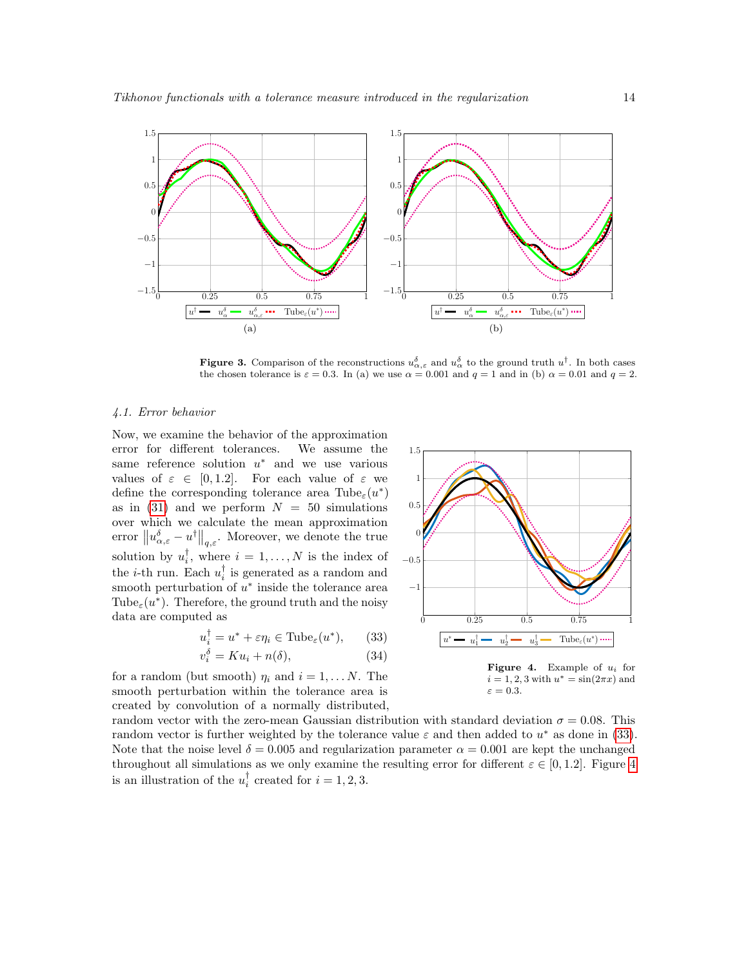<span id="page-13-1"></span>

<span id="page-13-0"></span>**Figure 3.** Comparison of the reconstructions  $u_{\alpha,\varepsilon}^{\delta}$  and  $u_{\alpha}^{\delta}$  to the ground truth  $u^{\dagger}$ . In both cases the chosen tolerance is  $\varepsilon = 0.3$ . In (a) we use  $\alpha = 0.001$  and  $q = 1$  and in (b)  $\alpha = 0.01$  and  $q = 2$ .

#### 4.1. Error behavior

Now, we examine the behavior of the approximation error for different tolerances. We assume the same reference solution  $u^*$  and we use various values of  $\varepsilon \in [0, 1.2]$ . For each value of  $\varepsilon$  we define the corresponding tolerance area  $\text{Tube}_{\varepsilon}(u^*)$ as in  $(31)$  and we perform  $N = 50$  simulations over which we calculate the mean approximation error  $\left\|u_{\alpha,\varepsilon}^{\delta}-u^{\dagger}\right\|_{q,\varepsilon}$ . Moreover, we denote the true solution by  $u_i^{\dagger}$ , where  $i = 1, ..., N$  is the index of the *i*-th run. Each  $u_i^{\dagger}$  is generated as a random and smooth perturbation of  $u^*$  inside the tolerance area Tube<sub> $\varepsilon$ </sub>(*u*<sup>\*</sup>). Therefore, the ground truth and the noisy data are computed as

<span id="page-13-3"></span>
$$
u_i^{\dagger} = u^* + \varepsilon \eta_i \in \text{Tube}_{\varepsilon}(u^*), \qquad (33)
$$

$$
v_i^{\delta} = K u_i + n(\delta), \tag{34}
$$

for a random (but smooth)  $\eta_i$  and  $i = 1, \ldots N$ . The smooth perturbation within the tolerance area is created by convolution of a normally distributed,

<span id="page-13-2"></span>

<span id="page-13-4"></span> $i = 1, 2, 3$  with  $u^* = \sin(2\pi x)$  and  $\varepsilon = 0.3$ .

random vector with the zero-mean Gaussian distribution with standard deviation  $\sigma = 0.08$ . This random vector is further weighted by the tolerance value  $\varepsilon$  and then added to  $u^*$  as done in [\(33\)](#page-13-3). Note that the noise level  $\delta = 0.005$  and regularization parameter  $\alpha = 0.001$  are kept the unchanged throughout all simulations as we only examine the resulting error for different  $\varepsilon \in [0, 1.2]$ . Figure [4](#page-13-4) is an illustration of the  $u_i^{\dagger}$  created for  $i = 1, 2, 3$ .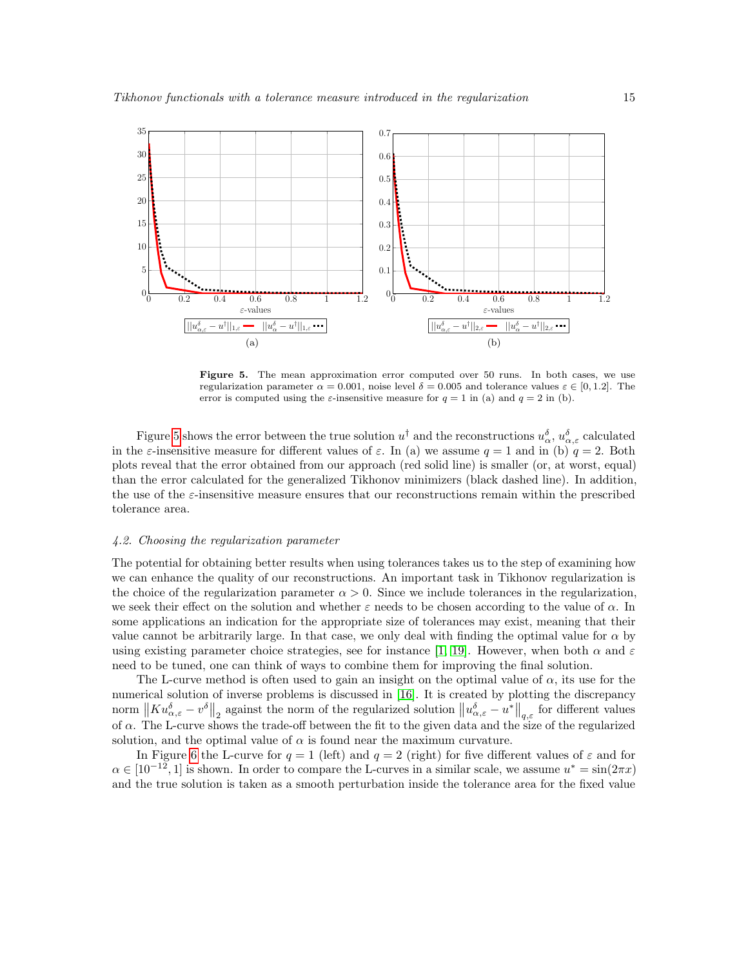

<span id="page-14-0"></span>Figure 5. The mean approximation error computed over 50 runs. In both cases, we use regularization parameter  $\alpha = 0.001$ , noise level  $\delta = 0.005$  and tolerance values  $\varepsilon \in [0, 1.2]$ . The error is computed using the  $\varepsilon$ -insensitive measure for  $q = 1$  in (a) and  $q = 2$  in (b).

Figure [5](#page-14-0) shows the error between the true solution  $u^{\dagger}$  and the reconstructions  $u^{\delta}_{\alpha}$ ,  $u^{\delta}_{\alpha,\varepsilon}$  calculated in the *ε*-insensitive measure for different values of  $\varepsilon$ . In (a) we assume  $q = 1$  and in (b)  $q = 2$ . Both plots reveal that the error obtained from our approach (red solid line) is smaller (or, at worst, equal) than the error calculated for the generalized Tikhonov minimizers (black dashed line). In addition, the use of the  $\varepsilon$ -insensitive measure ensures that our reconstructions remain within the prescribed tolerance area.

## 4.2. Choosing the regularization parameter

The potential for obtaining better results when using tolerances takes us to the step of examining how we can enhance the quality of our reconstructions. An important task in Tikhonov regularization is the choice of the regularization parameter  $\alpha > 0$ . Since we include tolerances in the regularization, we seek their effect on the solution and whether  $\varepsilon$  needs to be chosen according to the value of  $\alpha$ . In some applications an indication for the appropriate size of tolerances may exist, meaning that their value cannot be arbitrarily large. In that case, we only deal with finding the optimal value for  $\alpha$  by using existing parameter choice strategies, see for instance [\[1,](#page-21-19) [19\]](#page-21-20). However, when both  $\alpha$  and  $\varepsilon$ need to be tuned, one can think of ways to combine them for improving the final solution.

The L-curve method is often used to gain an insight on the optimal value of  $\alpha$ , its use for the numerical solution of inverse problems is discussed in [\[16\]](#page-21-21). It is created by plotting the discrepancy norm  $\left\| Ku_{\alpha,\varepsilon}^{\delta}-v^{\delta}\right\|_2$  against the norm of the regularized solution  $\left\| u_{\alpha,\varepsilon}^{\delta}-u^*\right\|_{q,\varepsilon}$  for different values of  $\alpha$ . The L-curve shows the trade-off between the fit to the given data and the size of the regularized solution, and the optimal value of  $\alpha$  is found near the maximum curvature.

In Figure [6](#page-15-0) the L-curve for  $q = 1$  (left) and  $q = 2$  (right) for five different values of  $\varepsilon$  and for  $\alpha \in [10^{-12}, 1]$  is shown. In order to compare the L-curves in a similar scale, we assume  $u^* = \sin(2\pi x)$ and the true solution is taken as a smooth perturbation inside the tolerance area for the fixed value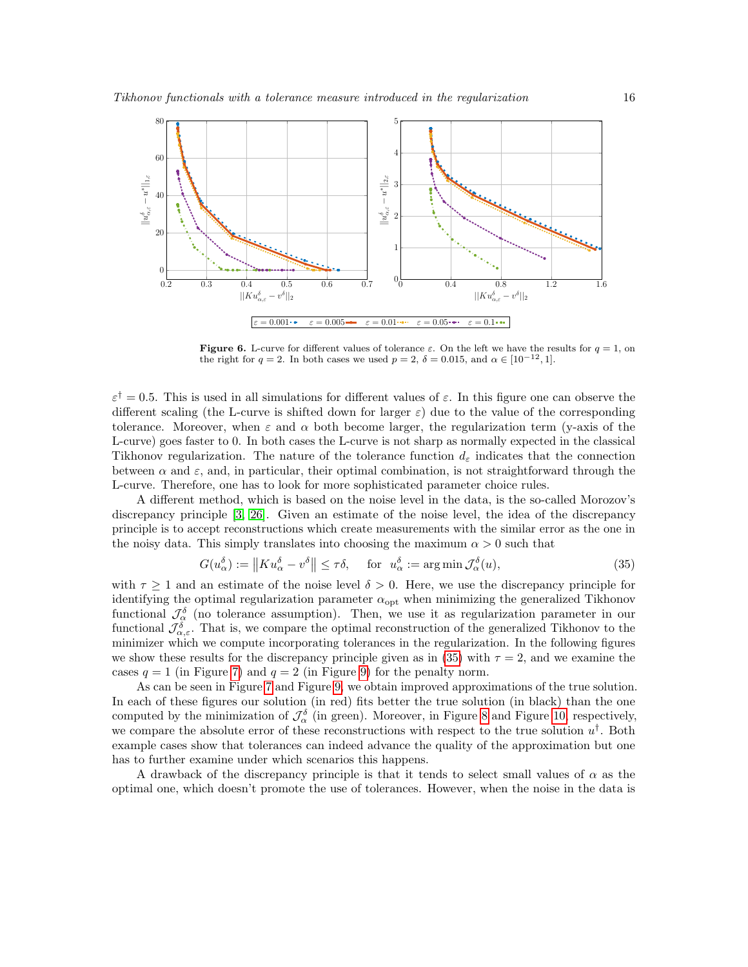

<span id="page-15-0"></span>**Figure 6.** L-curve for different values of tolerance  $\varepsilon$ . On the left we have the results for  $q = 1$ , on the right for  $q = 2$ . In both cases we used  $p = 2$ ,  $\delta = 0.015$ , and  $\alpha \in [10^{-12}, 1]$ .

 $\varepsilon^{\dagger} = 0.5$ . This is used in all simulations for different values of  $\varepsilon$ . In this figure one can observe the different scaling (the L-curve is shifted down for larger  $\varepsilon$ ) due to the value of the corresponding tolerance. Moreover, when  $\varepsilon$  and  $\alpha$  both become larger, the regularization term (y-axis of the L-curve) goes faster to 0. In both cases the L-curve is not sharp as normally expected in the classical Tikhonov regularization. The nature of the tolerance function  $d_{\varepsilon}$  indicates that the connection between  $\alpha$  and  $\varepsilon$ , and, in particular, their optimal combination, is not straightforward through the L-curve. Therefore, one has to look for more sophisticated parameter choice rules.

A different method, which is based on the noise level in the data, is the so-called Morozov's discrepancy principle [\[3,](#page-21-22) [26\]](#page-21-23). Given an estimate of the noise level, the idea of the discrepancy principle is to accept reconstructions which create measurements with the similar error as the one in the noisy data. This simply translates into choosing the maximum  $\alpha > 0$  such that

<span id="page-15-1"></span>
$$
G(u_{\alpha}^{\delta}) := \|K u_{\alpha}^{\delta} - v^{\delta}\| \le \tau \delta, \quad \text{for} \ \ u_{\alpha}^{\delta} := \arg\min \mathcal{J}_{\alpha}^{\delta}(u), \tag{35}
$$

with  $\tau \geq 1$  and an estimate of the noise level  $\delta > 0$ . Here, we use the discrepancy principle for identifying the optimal regularization parameter  $\alpha_{\text{opt}}$  when minimizing the generalized Tikhonov functional  $\mathcal{J}_{\alpha}^{\delta}$  (no tolerance assumption). Then, we use it as regularization parameter in our functional  $\mathcal{J}_{\alpha,\varepsilon}^{\delta}$ . That is, we compare the optimal reconstruction of the generalized Tikhonov to the minimizer which we compute incorporating tolerances in the regularization. In the following figures we show these results for the discrepancy principle given as in [\(35\)](#page-15-1) with  $\tau = 2$ , and we examine the cases  $q = 1$  (in Figure [7\)](#page-16-0) and  $q = 2$  (in Figure [9\)](#page-17-0) for the penalty norm.

As can be seen in Figure [7](#page-16-0) and Figure [9,](#page-17-0) we obtain improved approximations of the true solution. In each of these figures our solution (in red) fits better the true solution (in black) than the one computed by the minimization of  $\mathcal{J}_{\alpha}^{\delta}$  (in green). Moreover, in Figure [8](#page-16-1) and Figure [10,](#page-17-1) respectively, we compare the absolute error of these reconstructions with respect to the true solution  $u^{\dagger}$ . Both example cases show that tolerances can indeed advance the quality of the approximation but one has to further examine under which scenarios this happens.

A drawback of the discrepancy principle is that it tends to select small values of  $\alpha$  as the optimal one, which doesn't promote the use of tolerances. However, when the noise in the data is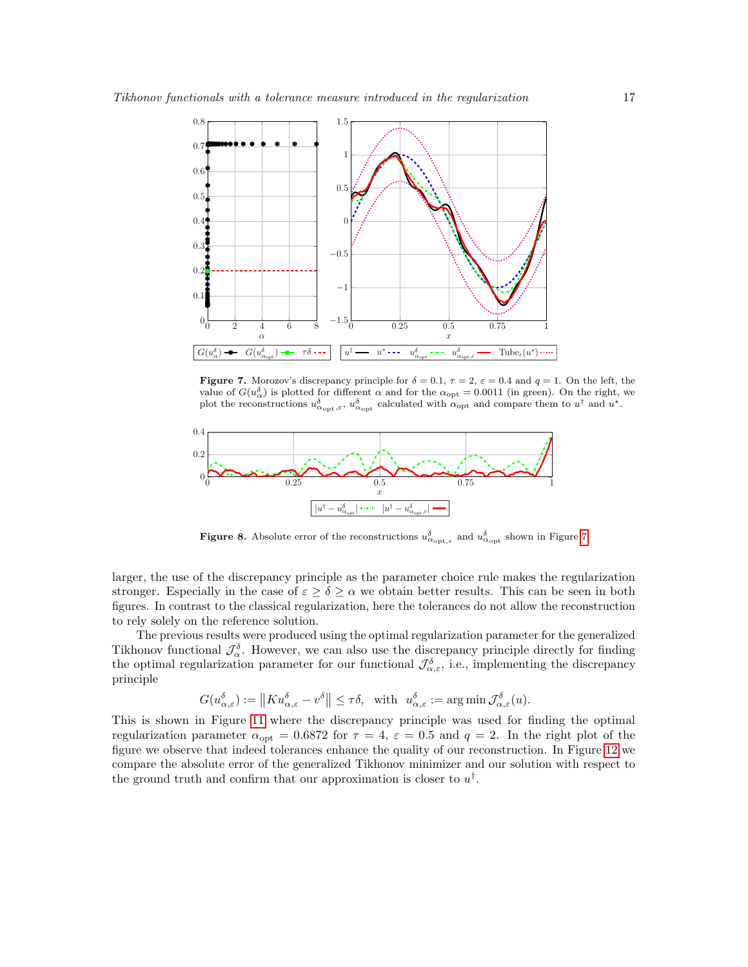

<span id="page-16-0"></span>**Figure 7.** Morozov's discrepancy principle for  $\delta = 0.1$ ,  $\tau = 2$ ,  $\varepsilon = 0.4$  and  $q = 1$ . On the left, the value of  $G(u_{\alpha}^{\delta})$  is plotted for different  $\alpha$  and for the  $\alpha_{\text{opt}} = 0.0011$  (in green). On the right, we plot the reconstructions  $u_{\alpha_{\text{opt}},\varepsilon}^{\delta}$ ,  $u_{\alpha_{\text{opt}}}^{\delta}$  calculated with  $\alpha_{\text{opt}}$  and compare them to  $u^{\dagger}$  and  $u^*$ .



<span id="page-16-1"></span>**Figure 8.** Absolute error of the reconstructions  $u_{\alpha_{\text{opt}},\varepsilon}^{\delta}$  and  $u_{\alpha_{\text{opt}}}^{\delta}$  shown in Figure [7.](#page-16-0)

larger, the use of the discrepancy principle as the parameter choice rule makes the regularization stronger. Especially in the case of  $\varepsilon \geq \delta \geq \alpha$  we obtain better results. This can be seen in both figures. In contrast to the classical regularization, here the tolerances do not allow the reconstruction to rely solely on the reference solution.

The previous results were produced using the optimal regularization parameter for the generalized Tikhonov functional  $\mathcal{J}_{\alpha}^{\delta}$ . However, we can also use the discrepancy principle directly for finding the optimal regularization parameter for our functional  $\mathcal{J}^{\delta}_{\alpha,\varepsilon}$ , i.e., implementing the discrepancy principle

$$
G(u_{\alpha,\varepsilon}^{\delta}) := \|K u_{\alpha,\varepsilon}^{\delta} - v^{\delta}\| \leq \tau\delta, \text{ with } u_{\alpha,\varepsilon}^{\delta} := \arg\min \mathcal{J}_{\alpha,\varepsilon}^{\delta}(u).
$$

This is shown in Figure [11](#page-18-0) where the discrepancy principle was used for finding the optimal regularization parameter  $\alpha_{\text{opt}} = 0.6872$  for  $\tau = 4$ ,  $\varepsilon = 0.5$  and  $q = 2$ . In the right plot of the figure we observe that indeed tolerances enhance the quality of our reconstruction. In Figure [12](#page-18-1) we compare the absolute error of the generalized Tikhonov minimizer and our solution with respect to the ground truth and confirm that our approximation is closer to  $u^{\dagger}$ .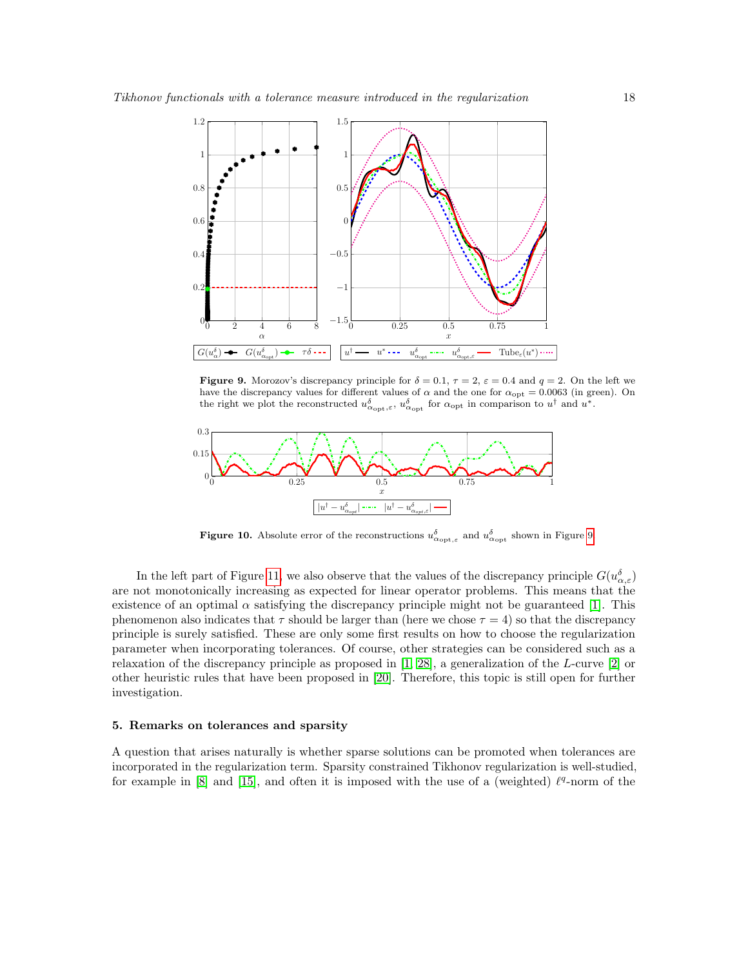

<span id="page-17-0"></span>**Figure 9.** Morozov's discrepancy principle for  $\delta = 0.1$ ,  $\tau = 2$ ,  $\varepsilon = 0.4$  and  $q = 2$ . On the left we have the discrepancy values for different values of  $\alpha$  and the one for  $\alpha_{\rm opt} = 0.0063$  (in green). On the right we plot the reconstructed  $u_{\alpha_{\text{opt}},\varepsilon}^{\delta}$ ,  $u_{\alpha_{\text{opt}}}^{\delta}$  for  $\alpha_{\text{opt}}$  in comparison to  $u^{\dagger}$  and  $u^*$ .



<span id="page-17-1"></span>**Figure 10.** Absolute error of the reconstructions  $u_{\alpha_{\text{opt},\varepsilon}}^{\delta}$  and  $u_{\alpha_{\text{opt}}}^{\delta}$  shown in Figure [9.](#page-17-0)

In the left part of Figure [11,](#page-18-0) we also observe that the values of the discrepancy principle  $G(u_{\alpha,\varepsilon}^{\delta})$ are not monotonically increasing as expected for linear operator problems. This means that the existence of an optimal  $\alpha$  satisfying the discrepancy principle might not be guaranteed [\[1\]](#page-21-19). This phenomenon also indicates that  $\tau$  should be larger than (here we chose  $\tau = 4$ ) so that the discrepancy principle is surely satisfied. These are only some first results on how to choose the regularization parameter when incorporating tolerances. Of course, other strategies can be considered such as a relaxation of the discrepancy principle as proposed in [\[1,](#page-21-19) [28\]](#page-22-8), a generalization of the L-curve [\[2\]](#page-21-24) or other heuristic rules that have been proposed in [\[20\]](#page-21-25). Therefore, this topic is still open for further investigation.

# 5. Remarks on tolerances and sparsity

A question that arises naturally is whether sparse solutions can be promoted when tolerances are incorporated in the regularization term. Sparsity constrained Tikhonov regularization is well-studied, for example in  $[8]$  and  $[15]$ , and often it is imposed with the use of a (weighted)  $\ell^q$ -norm of the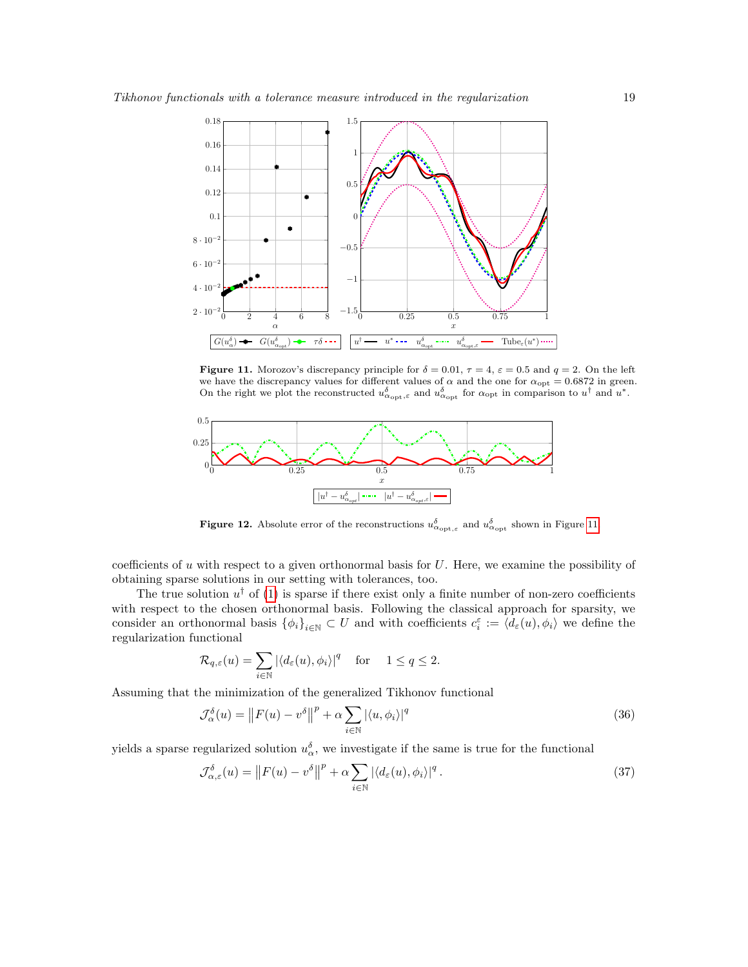

<span id="page-18-0"></span>**Figure 11.** Morozov's discrepancy principle for  $\delta = 0.01$ ,  $\tau = 4$ ,  $\varepsilon = 0.5$  and  $q = 2$ . On the left we have the discrepancy values for different values of  $\alpha$  and the one for  $\alpha_{\rm opt} = 0.6872$  in green. On the right we plot the reconstructed  $u_{\alpha_{\text{opt}},\varepsilon}^{\delta}$  and  $u_{\alpha_{\text{opt}}}^{\delta}$  for  $\alpha_{\text{opt}}$  in comparison to  $u^{\dagger}$  and  $u^*$ .



<span id="page-18-1"></span>**Figure 12.** Absolute error of the reconstructions  $u_{\alpha_{\text{opt},\varepsilon}}^{\delta}$  and  $u_{\alpha_{\text{opt}}}^{\delta}$  shown in Figure [11.](#page-18-0)

coefficients of u with respect to a given orthonormal basis for  $U$ . Here, we examine the possibility of obtaining sparse solutions in our setting with tolerances, too.

The true solution  $u^{\dagger}$  of [\(1\)](#page-0-1) is sparse if there exist only a finite number of non-zero coefficients with respect to the chosen orthonormal basis. Following the classical approach for sparsity, we consider an orthonormal basis  $\{\phi_i\}_{i\in\mathbb{N}}\subset U$  and with coefficients  $c_i^{\varepsilon}:=\langle d_{\varepsilon}(u),\phi_i\rangle$  we define the regularization functional

$$
\mathcal{R}_{q,\varepsilon}(u) = \sum_{i \in \mathbb{N}} |\langle d_{\varepsilon}(u), \phi_i \rangle|^q \quad \text{for} \quad 1 \le q \le 2.
$$

Assuming that the minimization of the generalized Tikhonov functional

$$
\mathcal{J}_{\alpha}^{\delta}(u) = \left\| F(u) - v^{\delta} \right\|^{p} + \alpha \sum_{i \in \mathbb{N}} \left| \langle u, \phi_{i} \rangle \right|^{q}
$$
\n(36)

yields a sparse regularized solution  $u_{\alpha}^{\delta}$ , we investigate if the same is true for the functional

$$
\mathcal{J}_{\alpha,\varepsilon}^{\delta}(u) = \left\| F(u) - v^{\delta} \right\|^{p} + \alpha \sum_{i \in \mathbb{N}} \left| \langle d_{\varepsilon}(u), \phi_{i} \rangle \right|^{q}.
$$
\n(37)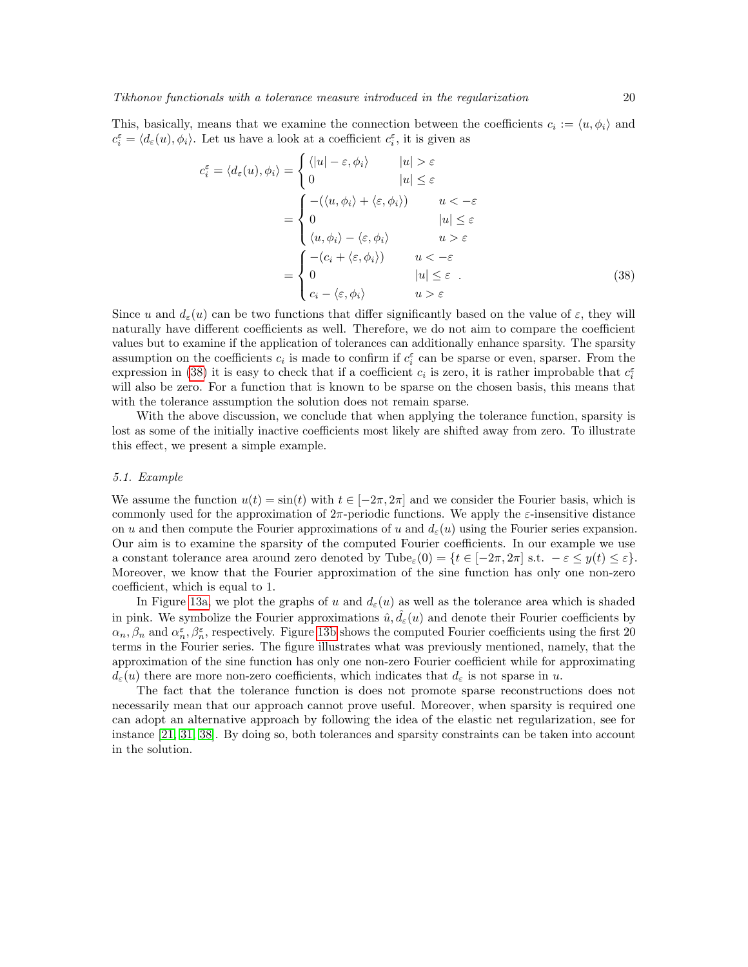This, basically, means that we examine the connection between the coefficients  $c_i := \langle u, \phi_i \rangle$  and  $c_i^{\varepsilon} = \langle d_{\varepsilon}(u), \phi_i \rangle$ . Let us have a look at a coefficient  $c_i^{\varepsilon}$ , it is given as

<span id="page-19-0"></span>
$$
c_i^{\varepsilon} = \langle d_{\varepsilon}(u), \phi_i \rangle = \begin{cases} \langle |u| - \varepsilon, \phi_i \rangle & |u| > \varepsilon \\ 0 & |u| \le \varepsilon \end{cases}
$$
  
= 
$$
\begin{cases} -(\langle u, \phi_i \rangle + \langle \varepsilon, \phi_i \rangle) & u < -\varepsilon \\ 0 & |u| \le \varepsilon \\ \langle u, \phi_i \rangle - \langle \varepsilon, \phi_i \rangle & u > \varepsilon \end{cases}
$$
  
= 
$$
\begin{cases} -(c_i + \langle \varepsilon, \phi_i \rangle) & u < -\varepsilon \\ 0 & |u| \le \varepsilon \\ c_i - \langle \varepsilon, \phi_i \rangle & u > \varepsilon \end{cases}
$$
(38)

Since u and  $d_{\varepsilon}(u)$  can be two functions that differ significantly based on the value of  $\varepsilon$ , they will naturally have different coefficients as well. Therefore, we do not aim to compare the coefficient values but to examine if the application of tolerances can additionally enhance sparsity. The sparsity assumption on the coefficients  $c_i$  is made to confirm if  $c_i^{\varepsilon}$  can be sparse or even, sparser. From the expression in [\(38\)](#page-19-0) it is easy to check that if a coefficient  $c_i$  is zero, it is rather improbable that  $c_i^{\varepsilon}$ will also be zero. For a function that is known to be sparse on the chosen basis, this means that with the tolerance assumption the solution does not remain sparse.

With the above discussion, we conclude that when applying the tolerance function, sparsity is lost as some of the initially inactive coefficients most likely are shifted away from zero. To illustrate this effect, we present a simple example.

## 5.1. Example

We assume the function  $u(t) = \sin(t)$  with  $t \in [-2\pi, 2\pi]$  and we consider the Fourier basis, which is commonly used for the approximation of  $2\pi$ -periodic functions. We apply the  $\varepsilon$ -insensitive distance on u and then compute the Fourier approximations of u and  $d_{\varepsilon}(u)$  using the Fourier series expansion. Our aim is to examine the sparsity of the computed Fourier coefficients. In our example we use a constant tolerance area around zero denoted by Tube<sub> $\varepsilon$ </sub>(0) = { $t \in [-2\pi, 2\pi]$  s.t.  $-\varepsilon \leq y(t) \leq \varepsilon$ }. Moreover, we know that the Fourier approximation of the sine function has only one non-zero coefficient, which is equal to 1.

In Figure [13a,](#page-20-0) we plot the graphs of u and  $d_{\varepsilon}(u)$  as well as the tolerance area which is shaded in pink. We symbolize the Fourier approximations  $\hat{u}, \hat{d}_{\varepsilon}(u)$  and denote their Fourier coefficients by  $\alpha_n, \beta_n$  and  $\alpha_n^{\varepsilon}, \beta_n^{\varepsilon}$ , respectively. Figure [13b](#page-20-1) shows the computed Fourier coefficients using the first 20 terms in the Fourier series. The figure illustrates what was previously mentioned, namely, that the approximation of the sine function has only one non-zero Fourier coefficient while for approximating  $d_{\varepsilon}(u)$  there are more non-zero coefficients, which indicates that  $d_{\varepsilon}$  is not sparse in u.

The fact that the tolerance function is does not promote sparse reconstructions does not necessarily mean that our approach cannot prove useful. Moreover, when sparsity is required one can adopt an alternative approach by following the idea of the elastic net regularization, see for instance [\[21,](#page-21-26) [31,](#page-22-9) [38\]](#page-22-10). By doing so, both tolerances and sparsity constraints can be taken into account in the solution.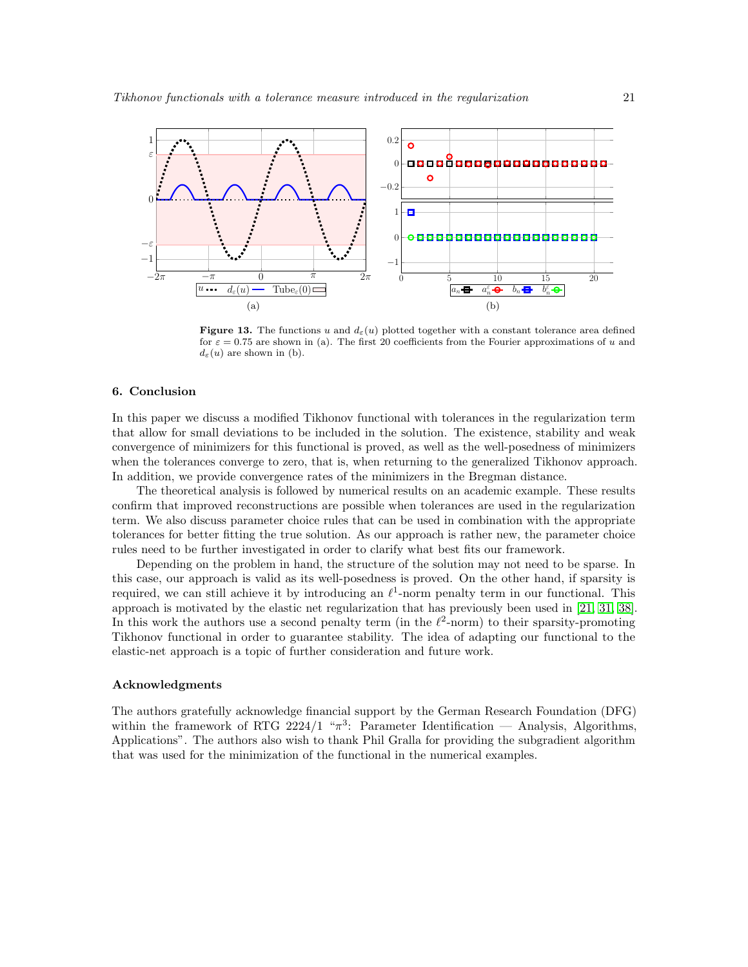<span id="page-20-0"></span>

<span id="page-20-1"></span>**Figure 13.** The functions u and  $d_{\varepsilon}(u)$  plotted together with a constant tolerance area defined for  $\varepsilon = 0.75$  are shown in (a). The first 20 coefficients from the Fourier approximations of u and  $d_{\varepsilon}(u)$  are shown in (b).

# 6. Conclusion

In this paper we discuss a modified Tikhonov functional with tolerances in the regularization term that allow for small deviations to be included in the solution. The existence, stability and weak convergence of minimizers for this functional is proved, as well as the well-posedness of minimizers when the tolerances converge to zero, that is, when returning to the generalized Tikhonov approach. In addition, we provide convergence rates of the minimizers in the Bregman distance.

The theoretical analysis is followed by numerical results on an academic example. These results confirm that improved reconstructions are possible when tolerances are used in the regularization term. We also discuss parameter choice rules that can be used in combination with the appropriate tolerances for better fitting the true solution. As our approach is rather new, the parameter choice rules need to be further investigated in order to clarify what best fits our framework.

Depending on the problem in hand, the structure of the solution may not need to be sparse. In this case, our approach is valid as its well-posedness is proved. On the other hand, if sparsity is required, we can still achieve it by introducing an  $\ell^1$ -norm penalty term in our functional. This approach is motivated by the elastic net regularization that has previously been used in [\[21,](#page-21-26) [31,](#page-22-9) [38\]](#page-22-10). In this work the authors use a second penalty term (in the  $\ell^2$ -norm) to their sparsity-promoting Tikhonov functional in order to guarantee stability. The idea of adapting our functional to the elastic-net approach is a topic of further consideration and future work.

## Acknowledgments

The authors gratefully acknowledge financial support by the German Research Foundation (DFG) within the framework of RTG 2224/1 " $\pi^3$ : Parameter Identification — Analysis, Algorithms, Applications". The authors also wish to thank Phil Gralla for providing the subgradient algorithm that was used for the minimization of the functional in the numerical examples.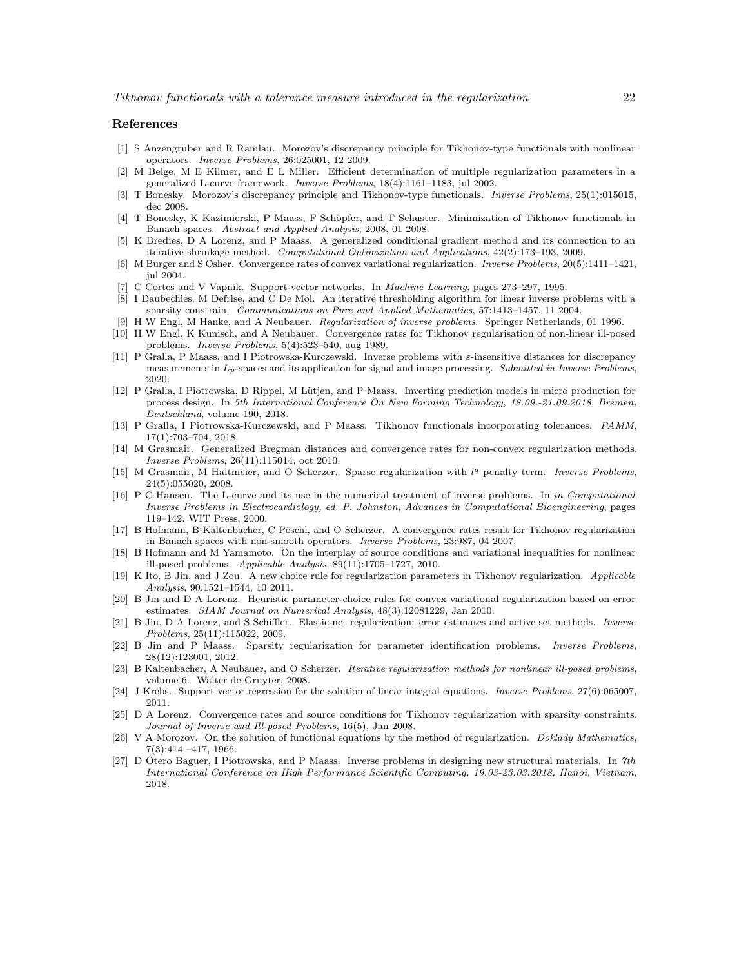#### References

- <span id="page-21-19"></span>[1] S Anzengruber and R Ramlau. Morozov's discrepancy principle for Tikhonov-type functionals with nonlinear operators. Inverse Problems, 26:025001, 12 2009.
- <span id="page-21-24"></span>[2] M Belge, M E Kilmer, and E L Miller. Efficient determination of multiple regularization parameters in a generalized L-curve framework. Inverse Problems, 18(4):1161–1183, jul 2002.
- <span id="page-21-22"></span>[3] T Bonesky. Morozov's discrepancy principle and Tikhonov-type functionals. Inverse Problems, 25(1):015015, dec 2008.
- <span id="page-21-0"></span>[4] T Bonesky, K Kazimierski, P Maass, F Schöpfer, and T Schuster. Minimization of Tikhonov functionals in Banach spaces. Abstract and Applied Analysis, 2008, 01 2008.
- <span id="page-21-6"></span>[5] K Bredies, D A Lorenz, and P Maass. A generalized conditional gradient method and its connection to an iterative shrinkage method. Computational Optimization and Applications, 42(2):173–193, 2009.
- <span id="page-21-14"></span>[6] M Burger and S Osher. Convergence rates of convex variational regularization. Inverse Problems, 20(5):1411–1421, jul 2004.
- <span id="page-21-13"></span>[7] C Cortes and V Vapnik. Support-vector networks. In *Machine Learning*, pages 273–297, 1995.
- <span id="page-21-7"></span>[8] I Daubechies, M Defrise, and C De Mol. An iterative thresholding algorithm for linear inverse problems with a sparsity constrain. Communications on Pure and Applied Mathematics, 57:1413–1457, 11 2004.
- <span id="page-21-1"></span>[9] H W Engl, M Hanke, and A Neubauer. Regularization of inverse problems. Springer Netherlands, 01 1996.
- <span id="page-21-15"></span>[10] H W Engl, K Kunisch, and A Neubauer. Convergence rates for Tikhonov regularisation of non-linear ill-posed problems. Inverse Problems, 5(4):523–540, aug 1989.
- <span id="page-21-8"></span>[11] P Gralla, P Maass, and I Piotrowska-Kurczewski. Inverse problems with ε-insensitive distances for discrepancy measurements in  $L_p$ -spaces and its application for signal and image processing. Submitted in Inverse Problems, 2020.
- <span id="page-21-9"></span>[12] P Gralla, I Piotrowska, D Rippel, M Lütjen, and P Maass. Inverting prediction models in micro production for process design. In 5th International Conference On New Forming Technology, 18.09.-21.09.2018, Bremen, Deutschland, volume 190, 2018.
- <span id="page-21-10"></span>[13] P Gralla, I Piotrowska-Kurczewski, and P Maass. Tikhonov functionals incorporating tolerances. PAMM, 17(1):703–704, 2018.
- <span id="page-21-17"></span>[14] M Grasmair. Generalized Bregman distances and convergence rates for non-convex regularization methods. Inverse Problems, 26(11):115014, oct 2010.
- <span id="page-21-2"></span>[15] M Grasmair, M Haltmeier, and O Scherzer. Sparse regularization with  $l<sup>q</sup>$  penalty term. Inverse Problems, 24(5):055020, 2008.
- <span id="page-21-21"></span>[16] P C Hansen. The L-curve and its use in the numerical treatment of inverse problems. In in Computational Inverse Problems in Electrocardiology, ed. P. Johnston, Advances in Computational Bioengineering, pages 119–142. WIT Press, 2000.
- <span id="page-21-3"></span>[17] B Hofmann, B Kaltenbacher, C Pöschl, and O Scherzer. A convergence rates result for Tikhonov regularization in Banach spaces with non-smooth operators. Inverse Problems, 23:987, 04 2007.
- <span id="page-21-18"></span>[18] B Hofmann and M Yamamoto. On the interplay of source conditions and variational inequalities for nonlinear ill-posed problems. Applicable Analysis, 89(11):1705–1727, 2010.
- <span id="page-21-20"></span>[19] K Ito, B Jin, and J Zou. A new choice rule for regularization parameters in Tikhonov regularization. Applicable Analysis, 90:1521–1544, 10 2011.
- <span id="page-21-25"></span>[20] B Jin and D A Lorenz. Heuristic parameter-choice rules for convex variational regularization based on error estimates. SIAM Journal on Numerical Analysis, 48(3):12081229, Jan 2010.
- <span id="page-21-26"></span>[21] B Jin, D A Lorenz, and S Schiffler. Elastic-net regularization: error estimates and active set methods. Inverse
- <span id="page-21-4"></span>*Problems*, 25(11):115022, 2009.<br>[22] B Jin and P Maass. Sparsity Sparsity regularization for parameter identification problems. Inverse Problems, 28(12):123001, 2012.
- <span id="page-21-5"></span>[23] B Kaltenbacher, A Neubauer, and O Scherzer. Iterative regularization methods for nonlinear ill-posed problems, volume 6. Walter de Gruyter, 2008.
- <span id="page-21-11"></span>[24] J Krebs. Support vector regression for the solution of linear integral equations. Inverse Problems, 27(6):065007, 2011.
- <span id="page-21-16"></span>[25] D A Lorenz. Convergence rates and source conditions for Tikhonov regularization with sparsity constraints. Journal of Inverse and Ill-posed Problems, 16(5), Jan 2008.
- <span id="page-21-23"></span>[26] V A Morozov. On the solution of functional equations by the method of regularization. *Doklady Mathematics*, 7(3):414 –417, 1966.
- <span id="page-21-12"></span>[27] D Otero Baguer, I Piotrowska, and P Maass. Inverse problems in designing new structural materials. In 7th International Conference on High Performance Scientific Computing, 19.03-23.03.2018, Hanoi, Vietnam, 2018.